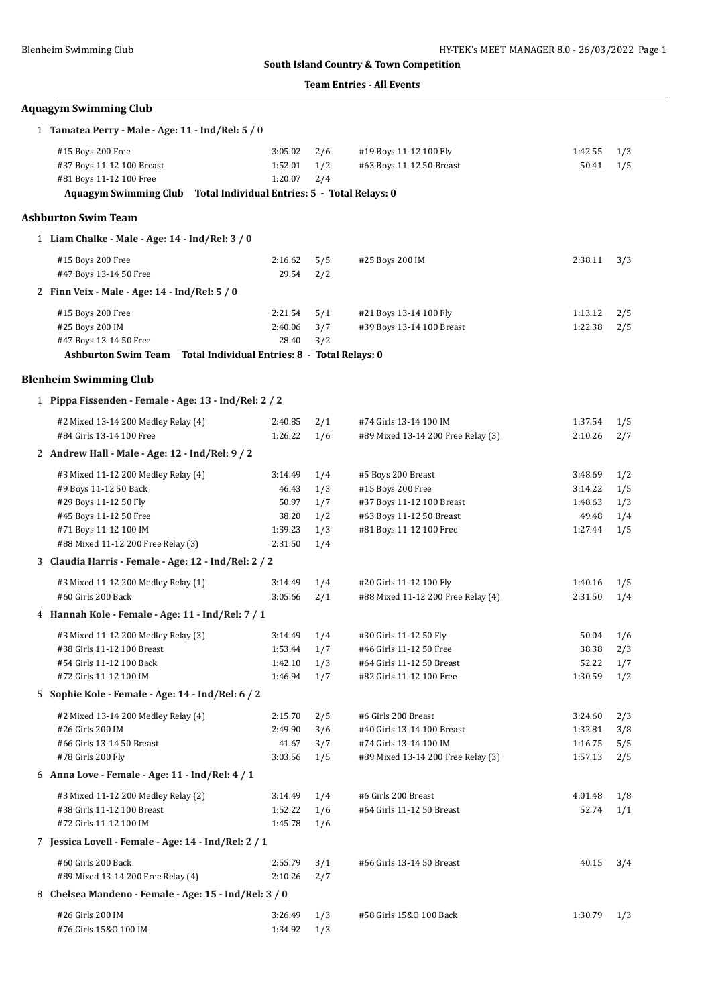### **Team Entries - All Events**

# **Aquagym Swimming Club**

| 1 Tamatea Perry - Male - Age: 11 - Ind/Rel: 5 / 0                         |                               |                   |                                                      |                    |            |
|---------------------------------------------------------------------------|-------------------------------|-------------------|------------------------------------------------------|--------------------|------------|
| #15 Boys 200 Free<br>#37 Boys 11-12 100 Breast<br>#81 Boys 11-12 100 Free | 3:05.02<br>1:52.01<br>1:20.07 | 2/6<br>1/2<br>2/4 | #19 Boys 11-12 100 Fly<br>#63 Boys 11-12 50 Breast   | 1:42.55<br>50.41   | 1/3<br>1/5 |
| Aquagym Swimming Club Total Individual Entries: 5 - Total Relays: 0       |                               |                   |                                                      |                    |            |
| <b>Ashburton Swim Team</b>                                                |                               |                   |                                                      |                    |            |
| 1 Liam Chalke - Male - Age: 14 - Ind/Rel: 3 / 0                           |                               |                   |                                                      |                    |            |
| #15 Boys 200 Free                                                         | 2:16.62                       | 5/5               | #25 Boys 200 IM                                      | 2:38.11            | 3/3        |
| #47 Boys 13-14 50 Free                                                    | 29.54                         | 2/2               |                                                      |                    |            |
| 2 Finn Veix - Male - Age: 14 - Ind/Rel: 5 / 0                             |                               |                   |                                                      |                    |            |
| #15 Boys 200 Free                                                         | 2:21.54                       | 5/1               | #21 Boys 13-14 100 Fly                               | 1:13.12            | 2/5        |
| #25 Boys 200 IM                                                           | 2:40.06                       | 3/7               | #39 Boys 13-14 100 Breast                            | 1:22.38            | 2/5        |
| #47 Boys 13-14 50 Free                                                    | 28.40                         | 3/2               |                                                      |                    |            |
| Ashburton Swim Team Total Individual Entries: 8 - Total Relays: 0         |                               |                   |                                                      |                    |            |
| <b>Blenheim Swimming Club</b>                                             |                               |                   |                                                      |                    |            |
| 1 Pippa Fissenden - Female - Age: 13 - Ind/Rel: 2 / 2                     |                               |                   |                                                      |                    |            |
| #2 Mixed 13-14 200 Medley Relay (4)                                       | 2:40.85                       | 2/1               | #74 Girls 13-14 100 IM                               | 1:37.54            | 1/5        |
| #84 Girls 13-14 100 Free                                                  | 1:26.22                       | 1/6               | #89 Mixed 13-14 200 Free Relay (3)                   | 2:10.26            | 2/7        |
| 2 Andrew Hall - Male - Age: 12 - Ind/Rel: 9 / 2                           |                               |                   |                                                      |                    |            |
| #3 Mixed 11-12 200 Medley Relay (4)                                       | 3:14.49                       | 1/4               | #5 Boys 200 Breast                                   | 3:48.69            | 1/2        |
| #9 Boys 11-12 50 Back                                                     | 46.43                         | 1/3               | #15 Boys 200 Free                                    | 3:14.22            | 1/5        |
| #29 Boys 11-12 50 Fly                                                     | 50.97                         | 1/7               | #37 Boys 11-12 100 Breast                            | 1:48.63            | 1/3        |
| #45 Boys 11-12 50 Free                                                    | 38.20                         | 1/2               | #63 Boys 11-12 50 Breast                             | 49.48              | 1/4        |
| #71 Boys 11-12 100 IM                                                     | 1:39.23                       | 1/3               | #81 Boys 11-12 100 Free                              | 1:27.44            | 1/5        |
| #88 Mixed 11-12 200 Free Relay (3)                                        | 2:31.50                       | 1/4               |                                                      |                    |            |
| 3 Claudia Harris - Female - Age: 12 - Ind/Rel: 2 / 2                      |                               |                   |                                                      |                    |            |
| #3 Mixed 11-12 200 Medley Relay (1)                                       | 3:14.49                       | 1/4               | #20 Girls 11-12 100 Fly                              | 1:40.16            | 1/5        |
| #60 Girls 200 Back                                                        | 3:05.66                       | 2/1               | #88 Mixed 11-12 200 Free Relay (4)                   | 2:31.50            | 1/4        |
| 4 Hannah Kole - Female - Age: 11 - Ind/Rel: 7 / 1                         |                               |                   |                                                      |                    |            |
| #3 Mixed 11-12 200 Medley Relay (3)                                       | 3:14.49                       | 1/4               | #30 Girls 11-12 50 Fly                               | 50.04              | 1/6        |
| #38 Girls 11-12 100 Breast                                                | 1:53.44                       | 1/7               | #46 Girls 11-12 50 Free                              | 38.38              | 2/3        |
| #54 Girls 11-12 100 Back<br>#72 Girls 11-12 100 IM                        | $1:42.10$ $1/3$<br>1:46.94    |                   | #64 Girls 11-12 50 Breast                            | 52.22              | 1/7        |
| 5 Sophie Kole - Female - Age: 14 - Ind/Rel: 6 / 2                         |                               | 1/7               | #82 Girls 11-12 100 Free                             | 1:30.59            | 1/2        |
|                                                                           |                               |                   |                                                      |                    |            |
| #2 Mixed 13-14 200 Medley Relay (4)                                       | 2:15.70                       | 2/5               | #6 Girls 200 Breast                                  | 3:24.60            | 2/3        |
| #26 Girls 200 IM<br>#66 Girls 13-14 50 Breast                             | 2:49.90<br>41.67              | 3/6<br>3/7        | #40 Girls 13-14 100 Breast<br>#74 Girls 13-14 100 IM | 1:32.81<br>1:16.75 | 3/8<br>5/5 |
| #78 Girls 200 Fly                                                         | 3:03.56                       | 1/5               | #89 Mixed 13-14 200 Free Relay (3)                   | 1:57.13            | 2/5        |
| 6 Anna Love - Female - Age: 11 - Ind/Rel: 4 / 1                           |                               |                   |                                                      |                    |            |
| #3 Mixed 11-12 200 Medley Relay (2)                                       | 3:14.49                       | 1/4               | #6 Girls 200 Breast                                  | 4:01.48            | 1/8        |
| #38 Girls 11-12 100 Breast                                                | 1:52.22                       | 1/6               | #64 Girls 11-12 50 Breast                            | 52.74              | 1/1        |
| #72 Girls 11-12 100 IM                                                    | 1:45.78                       | 1/6               |                                                      |                    |            |
| 7 Jessica Lovell - Female - Age: 14 - Ind/Rel: 2 / 1                      |                               |                   |                                                      |                    |            |
| #60 Girls 200 Back                                                        | 2:55.79                       | 3/1               | #66 Girls 13-14 50 Breast                            | 40.15              | 3/4        |
| #89 Mixed 13-14 200 Free Relay (4)                                        | 2:10.26                       | 2/7               |                                                      |                    |            |
| 8 Chelsea Mandeno - Female - Age: 15 - Ind/Rel: 3 / 0                     |                               |                   |                                                      |                    |            |
| #26 Girls 200 IM                                                          | 3:26.49                       | 1/3               | #58 Girls 15&0 100 Back                              | 1:30.79            | 1/3        |
| #76 Girls 15&0 100 IM                                                     | 1:34.92                       | 1/3               |                                                      |                    |            |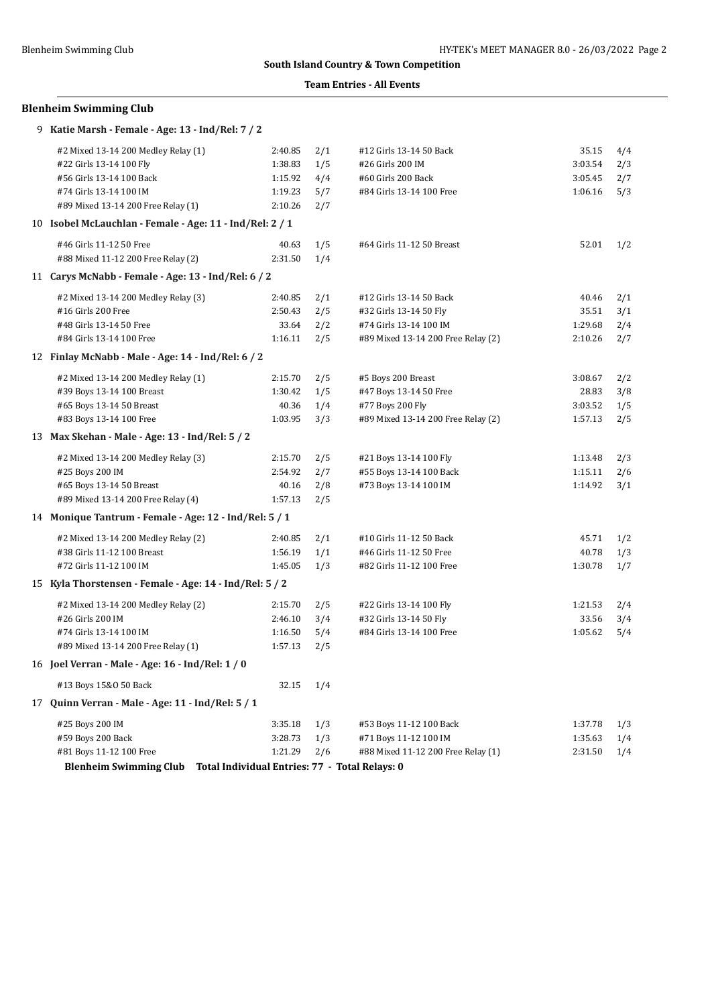### **Team Entries - All Events**

# **Blenheim Swimming Club**

| 9 Katie Marsh - Female - Age: 13 - Ind/Rel: 7 / 2        |         |     |                                                |         |     |
|----------------------------------------------------------|---------|-----|------------------------------------------------|---------|-----|
| #2 Mixed 13-14 200 Medley Relay (1)                      | 2:40.85 | 2/1 | #12 Girls 13-14 50 Back                        | 35.15   | 4/4 |
| #22 Girls 13-14 100 Fly                                  | 1:38.83 | 1/5 | #26 Girls 200 IM                               | 3:03.54 | 2/3 |
| #56 Girls 13-14 100 Back                                 | 1:15.92 | 4/4 | #60 Girls 200 Back                             | 3:05.45 | 2/7 |
| #74 Girls 13-14 100 IM                                   | 1:19.23 | 5/7 | #84 Girls 13-14 100 Free                       | 1:06.16 | 5/3 |
| #89 Mixed 13-14 200 Free Relay (1)                       | 2:10.26 | 2/7 |                                                |         |     |
| 10 Isobel McLauchlan - Female - Age: 11 - Ind/Rel: 2 / 1 |         |     |                                                |         |     |
| #46 Girls 11-12 50 Free                                  | 40.63   | 1/5 | #64 Girls 11-12 50 Breast                      | 52.01   | 1/2 |
| #88 Mixed 11-12 200 Free Relay (2)                       | 2:31.50 | 1/4 |                                                |         |     |
| 11 Carys McNabb - Female - Age: 13 - Ind/Rel: 6 / 2      |         |     |                                                |         |     |
| #2 Mixed 13-14 200 Medley Relay (3)                      | 2:40.85 | 2/1 | #12 Girls 13-14 50 Back                        | 40.46   | 2/1 |
| #16 Girls 200 Free                                       | 2:50.43 | 2/5 | #32 Girls 13-14 50 Fly                         | 35.51   | 3/1 |
| #48 Girls 13-14 50 Free                                  | 33.64   | 2/2 | #74 Girls 13-14 100 IM                         | 1:29.68 | 2/4 |
| #84 Girls 13-14 100 Free                                 | 1:16.11 | 2/5 | #89 Mixed 13-14 200 Free Relay (2)             | 2:10.26 | 2/7 |
| 12 Finlay McNabb - Male - Age: 14 - Ind/Rel: 6 / 2       |         |     |                                                |         |     |
| #2 Mixed 13-14 200 Medley Relay (1)                      | 2:15.70 | 2/5 | #5 Boys 200 Breast                             | 3:08.67 | 2/2 |
| #39 Boys 13-14 100 Breast                                | 1:30.42 | 1/5 | #47 Boys 13-14 50 Free                         | 28.83   | 3/8 |
| #65 Boys 13-14 50 Breast                                 | 40.36   | 1/4 | #77 Boys 200 Fly                               | 3:03.52 | 1/5 |
| #83 Boys 13-14 100 Free                                  | 1:03.95 | 3/3 | #89 Mixed 13-14 200 Free Relay (2)             | 1:57.13 | 2/5 |
| 13 Max Skehan - Male - Age: 13 - Ind/Rel: 5 / 2          |         |     |                                                |         |     |
| #2 Mixed 13-14 200 Medley Relay (3)                      | 2:15.70 | 2/5 | #21 Boys 13-14 100 Fly                         | 1:13.48 | 2/3 |
| #25 Boys 200 IM                                          | 2:54.92 | 2/7 | #55 Boys 13-14 100 Back                        | 1:15.11 | 2/6 |
| #65 Boys 13-14 50 Breast                                 | 40.16   | 2/8 | #73 Boys 13-14 100 IM                          | 1:14.92 | 3/1 |
| #89 Mixed 13-14 200 Free Relay (4)                       | 1:57.13 | 2/5 |                                                |         |     |
| 14 Monique Tantrum - Female - Age: 12 - Ind/Rel: 5 / 1   |         |     |                                                |         |     |
| #2 Mixed 13-14 200 Medley Relay (2)                      | 2:40.85 | 2/1 | #10 Girls 11-12 50 Back                        | 45.71   | 1/2 |
| #38 Girls 11-12 100 Breast                               | 1:56.19 | 1/1 | #46 Girls 11-12 50 Free                        | 40.78   | 1/3 |
| #72 Girls 11-12 100 IM                                   | 1:45.05 | 1/3 | #82 Girls 11-12 100 Free                       | 1:30.78 | 1/7 |
| 15 Kyla Thorstensen - Female - Age: 14 - Ind/Rel: 5 / 2  |         |     |                                                |         |     |
| #2 Mixed 13-14 200 Medley Relay (2)                      | 2:15.70 | 2/5 | #22 Girls 13-14 100 Fly                        | 1:21.53 | 2/4 |
| #26 Girls 200 IM                                         | 2:46.10 | 3/4 | #32 Girls 13-14 50 Fly                         | 33.56   | 3/4 |
| #74 Girls 13-14 100 IM                                   | 1:16.50 | 5/4 | #84 Girls 13-14 100 Free                       | 1:05.62 | 5/4 |
| #89 Mixed 13-14 200 Free Relay (1)                       | 1:57.13 | 2/5 |                                                |         |     |
| 16 Joel Verran - Male - Age: 16 - Ind/Rel: 1 / 0         |         |     |                                                |         |     |
| #13 Boys 15&0 50 Back                                    | 32.15   | 1/4 |                                                |         |     |
| 17 Quinn Verran - Male - Age: 11 - Ind/Rel: 5 / 1        |         |     |                                                |         |     |
| #25 Boys 200 IM                                          | 3:35.18 | 1/3 | #53 Boys 11-12 100 Back                        | 1:37.78 | 1/3 |
| #59 Boys 200 Back                                        | 3:28.73 | 1/3 | #71 Boys 11-12 100 IM                          | 1:35.63 | 1/4 |
| #81 Boys 11-12 100 Free                                  | 1:21.29 | 2/6 | #88 Mixed 11-12 200 Free Relay (1)             | 2:31.50 | 1/4 |
| <b>Blenheim Swimming Club</b>                            |         |     | Total Individual Entries: 77 - Total Relays: 0 |         |     |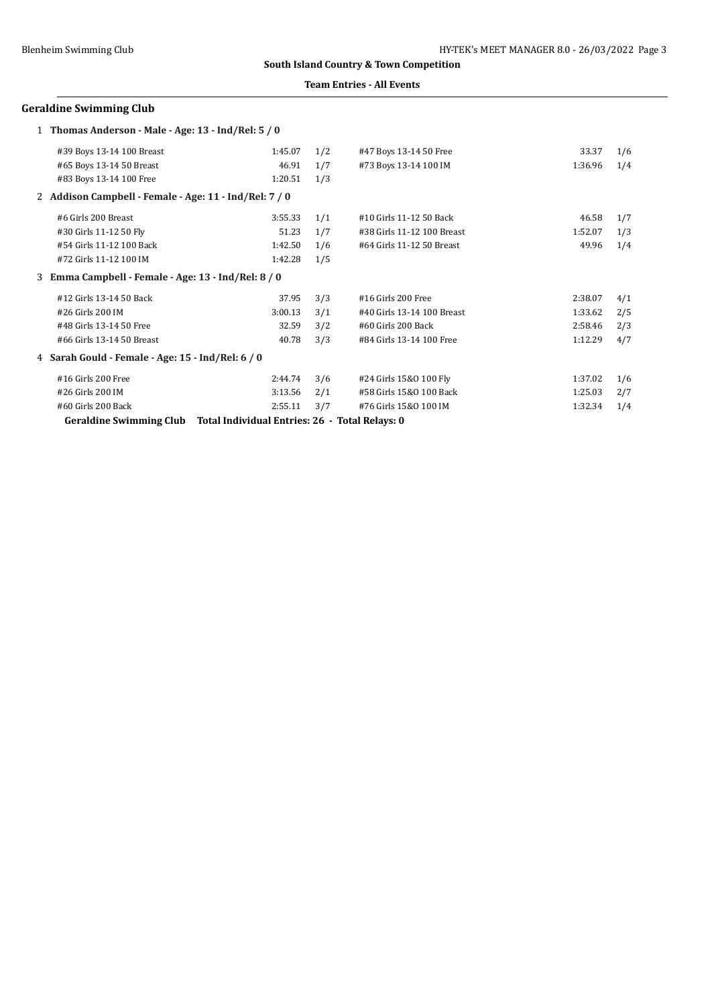### **Team Entries - All Events**

# **Geraldine Swimming Club**

| 1 Thomas Anderson - Male - Age: 13 - Ind/Rel: 5 / 0                              |         |     |                            |         |     |
|----------------------------------------------------------------------------------|---------|-----|----------------------------|---------|-----|
| #39 Boys 13-14 100 Breast                                                        | 1:45.07 | 1/2 | #47 Boys 13-14 50 Free     | 33.37   | 1/6 |
| #65 Boys 13-14 50 Breast                                                         | 46.91   | 1/7 | #73 Boys 13-14 100 IM      | 1:36.96 | 1/4 |
| #83 Boys 13-14 100 Free                                                          | 1:20.51 | 1/3 |                            |         |     |
| 2 Addison Campbell - Female - Age: 11 - Ind/Rel: 7 / 0                           |         |     |                            |         |     |
| #6 Girls 200 Breast                                                              | 3:55.33 | 1/1 | #10 Girls 11-12 50 Back    | 46.58   | 1/7 |
| #30 Girls 11-12 50 Fly                                                           | 51.23   | 1/7 | #38 Girls 11-12 100 Breast | 1:52.07 | 1/3 |
| #54 Girls 11-12 100 Back                                                         | 1:42.50 | 1/6 | #64 Girls 11-12 50 Breast  | 49.96   | 1/4 |
| #72 Girls 11-12 100 IM                                                           | 1:42.28 | 1/5 |                            |         |     |
| 3 Emma Campbell - Female - Age: 13 - Ind/Rel: 8 / 0                              |         |     |                            |         |     |
| #12 Girls 13-14 50 Back                                                          | 37.95   | 3/3 | #16 Girls 200 Free         | 2:38.07 | 4/1 |
| #26 Girls 200 IM                                                                 | 3:00.13 | 3/1 | #40 Girls 13-14 100 Breast | 1:33.62 | 2/5 |
| #48 Girls 13-14 50 Free                                                          | 32.59   | 3/2 | #60 Girls 200 Back         | 2:58.46 | 2/3 |
| #66 Girls 13-14 50 Breast                                                        | 40.78   | 3/3 | #84 Girls 13-14 100 Free   | 1:12.29 | 4/7 |
| 4 Sarah Gould - Female - Age: 15 - Ind/Rel: 6 / 0                                |         |     |                            |         |     |
| #16 Girls 200 Free                                                               | 2:44.74 | 3/6 | #24 Girls 15&0 100 Fly     | 1:37.02 | 1/6 |
| #26 Girls 200 IM                                                                 | 3:13.56 | 2/1 | #58 Girls 15&0 100 Back    | 1:25.03 | 2/7 |
| #60 Girls 200 Back                                                               | 2:55.11 | 3/7 | #76 Girls 15&0 100 IM      | 1:32.34 | 1/4 |
| Total Individual Entries: 26 - Total Relays: 0<br><b>Geraldine Swimming Club</b> |         |     |                            |         |     |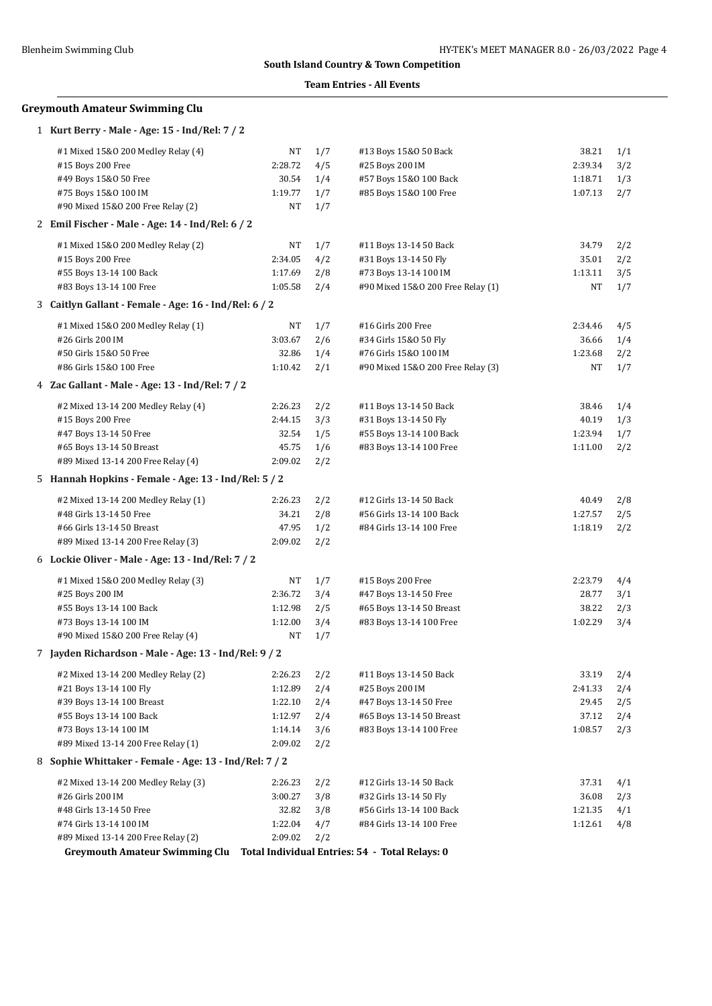### **Team Entries - All Events**

# **Greymouth Amateur Swimming Clu**

| 1 Kurt Berry - Male - Age: 15 - Ind/Rel: 7 / 2         |         |     |                                   |         |     |
|--------------------------------------------------------|---------|-----|-----------------------------------|---------|-----|
| #1 Mixed 15&0 200 Medley Relay (4)                     | NT      | 1/7 | #13 Boys 15&0 50 Back             | 38.21   | 1/1 |
| #15 Boys 200 Free                                      | 2:28.72 | 4/5 | #25 Boys 200 IM                   | 2:39.34 | 3/2 |
| #49 Boys 15&0 50 Free                                  | 30.54   | 1/4 | #57 Boys 15&0 100 Back            | 1:18.71 | 1/3 |
| #75 Boys 15&0 100 IM                                   | 1:19.77 | 1/7 | #85 Boys 15&0 100 Free            | 1:07.13 | 2/7 |
| #90 Mixed 15&0 200 Free Relay (2)                      | NT      | 1/7 |                                   |         |     |
| 2 Emil Fischer - Male - Age: 14 - Ind/Rel: 6 / 2       |         |     |                                   |         |     |
| #1 Mixed 15&0 200 Medley Relay (2)                     | NT      | 1/7 | #11 Boys 13-14 50 Back            | 34.79   | 2/2 |
| #15 Boys 200 Free                                      | 2:34.05 | 4/2 | #31 Boys 13-14 50 Fly             | 35.01   | 2/2 |
| #55 Boys 13-14 100 Back                                | 1:17.69 | 2/8 | #73 Boys 13-14 100 IM             | 1:13.11 | 3/5 |
| #83 Boys 13-14 100 Free                                | 1:05.58 | 2/4 | #90 Mixed 15&0 200 Free Relay (1) | NT      | 1/7 |
| 3 Caitlyn Gallant - Female - Age: 16 - Ind/Rel: 6 / 2  |         |     |                                   |         |     |
| #1 Mixed 15&0 200 Medley Relay (1)                     | NT      | 1/7 | #16 Girls 200 Free                | 2:34.46 | 4/5 |
| #26 Girls 200 IM                                       | 3:03.67 | 2/6 | #34 Girls 15&0 50 Fly             | 36.66   | 1/4 |
| #50 Girls 15&0 50 Free                                 | 32.86   | 1/4 | #76 Girls 15&0 100 IM             | 1:23.68 | 2/2 |
| #86 Girls 15&0 100 Free                                | 1:10.42 | 2/1 | #90 Mixed 15&0 200 Free Relay (3) | NT      | 1/7 |
| 4 Zac Gallant - Male - Age: 13 - Ind/Rel: 7 / 2        |         |     |                                   |         |     |
| #2 Mixed 13-14 200 Medley Relay (4)                    | 2:26.23 | 2/2 | #11 Boys 13-14 50 Back            | 38.46   | 1/4 |
| #15 Boys 200 Free                                      | 2:44.15 | 3/3 | #31 Boys 13-14 50 Fly             | 40.19   | 1/3 |
| #47 Boys 13-14 50 Free                                 | 32.54   | 1/5 | #55 Boys 13-14 100 Back           | 1:23.94 | 1/7 |
| #65 Boys 13-14 50 Breast                               | 45.75   | 1/6 | #83 Boys 13-14 100 Free           | 1:11.00 | 2/2 |
| #89 Mixed 13-14 200 Free Relay (4)                     | 2:09.02 | 2/2 |                                   |         |     |
| 5 Hannah Hopkins - Female - Age: 13 - Ind/Rel: 5 / 2   |         |     |                                   |         |     |
| #2 Mixed 13-14 200 Medley Relay (1)                    | 2:26.23 | 2/2 | #12 Girls 13-14 50 Back           | 40.49   | 2/8 |
| #48 Girls 13-14 50 Free                                | 34.21   | 2/8 | #56 Girls 13-14 100 Back          | 1:27.57 | 2/5 |
| #66 Girls 13-14 50 Breast                              | 47.95   | 1/2 | #84 Girls 13-14 100 Free          | 1:18.19 | 2/2 |
| #89 Mixed 13-14 200 Free Relay (3)                     | 2:09.02 | 2/2 |                                   |         |     |
| 6 Lockie Oliver - Male - Age: 13 - Ind/Rel: 7 / 2      |         |     |                                   |         |     |
| #1 Mixed 15&0 200 Medley Relay (3)                     | NT      | 1/7 | #15 Boys 200 Free                 | 2:23.79 | 4/4 |
| #25 Boys 200 IM                                        | 2:36.72 | 3/4 | #47 Boys 13-14 50 Free            | 28.77   | 3/1 |
| #55 Boys 13-14 100 Back                                | 1:12.98 | 2/5 | #65 Boys 13-14 50 Breast          | 38.22   | 2/3 |
| #73 Boys 13-14 100 IM                                  | 1:12.00 | 3/4 | #83 Boys 13-14 100 Free           | 1:02.29 | 3/4 |
| #90 Mixed 15&0 200 Free Relay (4)                      | NT      | 1/7 |                                   |         |     |
| 7 Jayden Richardson - Male - Age: 13 - Ind/Rel: 9 / 2  |         |     |                                   |         |     |
| #2 Mixed 13-14 200 Medley Relay (2)                    | 2:26.23 | 2/2 | #11 Boys 13-14 50 Back            | 33.19   | 2/4 |
| #21 Boys 13-14 100 Fly                                 | 1:12.89 | 2/4 | #25 Boys 200 IM                   | 2:41.33 | 2/4 |
| #39 Boys 13-14 100 Breast                              | 1:22.10 | 2/4 | #47 Boys 13-14 50 Free            | 29.45   | 2/5 |
| #55 Boys 13-14 100 Back                                | 1:12.97 | 2/4 | #65 Boys 13-14 50 Breast          | 37.12   | 2/4 |
| #73 Boys 13-14 100 IM                                  | 1:14.14 | 3/6 | #83 Boys 13-14 100 Free           | 1:08.57 | 2/3 |
| #89 Mixed 13-14 200 Free Relay (1)                     | 2:09.02 | 2/2 |                                   |         |     |
| 8 Sophie Whittaker - Female - Age: 13 - Ind/Rel: 7 / 2 |         |     |                                   |         |     |
| #2 Mixed 13-14 200 Medley Relay (3)                    | 2:26.23 | 2/2 | #12 Girls 13-14 50 Back           | 37.31   | 4/1 |
| #26 Girls 200 IM                                       | 3:00.27 | 3/8 | #32 Girls 13-14 50 Fly            | 36.08   | 2/3 |
| #48 Girls 13-14 50 Free                                | 32.82   | 3/8 | #56 Girls 13-14 100 Back          | 1:21.35 | 4/1 |
| #74 Girls 13-14 100 IM                                 | 1:22.04 | 4/7 | #84 Girls 13-14 100 Free          | 1:12.61 | 4/8 |
| #89 Mixed 13-14 200 Free Relay (2)                     | 2:09.02 | 2/2 |                                   |         |     |

**Greymouth Amateur Swimming Clu Total Individual Entries: 54 - Total Relays: 0**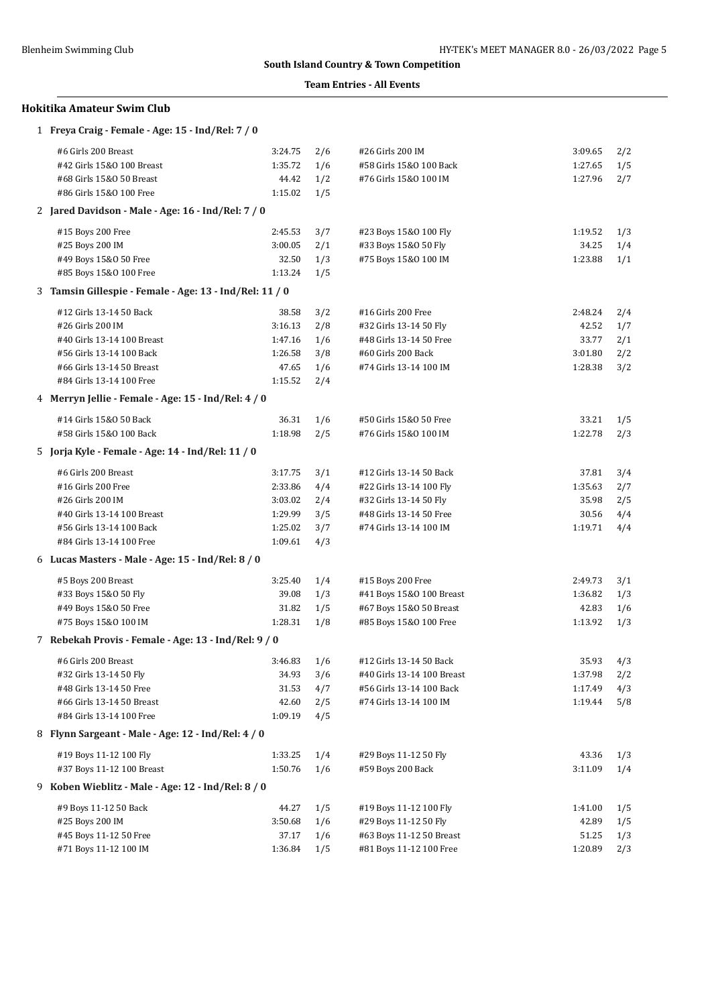$\overline{a}$ 

# **South Island Country & Town Competition**

### **Team Entries - All Events**

# **Hokitika Amateur Swim Club**

| 1 Freya Craig - Female - Age: 15 - Ind/Rel: 7 / 0       |         |     |                            |         |     |
|---------------------------------------------------------|---------|-----|----------------------------|---------|-----|
| #6 Girls 200 Breast                                     | 3:24.75 | 2/6 | #26 Girls 200 IM           | 3:09.65 | 2/2 |
| #42 Girls 15&0 100 Breast                               | 1:35.72 | 1/6 | #58 Girls 15&0 100 Back    | 1:27.65 | 1/5 |
| #68 Girls 15&0 50 Breast                                | 44.42   | 1/2 | #76 Girls 15&0 100 IM      | 1:27.96 | 2/7 |
| #86 Girls 15&0 100 Free                                 | 1:15.02 | 1/5 |                            |         |     |
| 2 Jared Davidson - Male - Age: 16 - Ind/Rel: 7 / 0      |         |     |                            |         |     |
| #15 Boys 200 Free                                       | 2:45.53 | 3/7 | #23 Boys 15&0 100 Fly      | 1:19.52 | 1/3 |
| #25 Boys 200 IM                                         | 3:00.05 | 2/1 | #33 Boys 15&0 50 Fly       | 34.25   | 1/4 |
| #49 Boys 15&0 50 Free                                   | 32.50   | 1/3 | #75 Boys 15&0 100 IM       | 1:23.88 | 1/1 |
| #85 Boys 15&0 100 Free                                  | 1:13.24 | 1/5 |                            |         |     |
| 3 Tamsin Gillespie - Female - Age: 13 - Ind/Rel: 11 / 0 |         |     |                            |         |     |
| #12 Girls 13-14 50 Back                                 | 38.58   | 3/2 | #16 Girls 200 Free         | 2:48.24 | 2/4 |
| #26 Girls 200 IM                                        | 3:16.13 | 2/8 | #32 Girls 13-14 50 Fly     | 42.52   | 1/7 |
| #40 Girls 13-14 100 Breast                              | 1:47.16 | 1/6 | #48 Girls 13-14 50 Free    | 33.77   | 2/1 |
| #56 Girls 13-14 100 Back                                | 1:26.58 | 3/8 | #60 Girls 200 Back         | 3:01.80 | 2/2 |
| #66 Girls 13-14 50 Breast                               | 47.65   | 1/6 | #74 Girls 13-14 100 IM     | 1:28.38 | 3/2 |
| #84 Girls 13-14 100 Free                                | 1:15.52 | 2/4 |                            |         |     |
| 4 Merryn Jellie - Female - Age: 15 - Ind/Rel: 4 / 0     |         |     |                            |         |     |
| #14 Girls 15&0 50 Back                                  | 36.31   | 1/6 | #50 Girls 15&0 50 Free     | 33.21   | 1/5 |
| #58 Girls 15&0 100 Back                                 | 1:18.98 | 2/5 | #76 Girls 15&0 100 IM      | 1:22.78 | 2/3 |
| 5 Jorja Kyle - Female - Age: 14 - Ind/Rel: 11 / 0       |         |     |                            |         |     |
| #6 Girls 200 Breast                                     | 3:17.75 | 3/1 | #12 Girls 13-14 50 Back    | 37.81   | 3/4 |
| #16 Girls 200 Free                                      | 2:33.86 | 4/4 | #22 Girls 13-14 100 Fly    | 1:35.63 | 2/7 |
| #26 Girls 200 IM                                        | 3:03.02 | 2/4 | #32 Girls 13-14 50 Fly     | 35.98   | 2/5 |
| #40 Girls 13-14 100 Breast                              | 1:29.99 | 3/5 | #48 Girls 13-14 50 Free    | 30.56   | 4/4 |
| #56 Girls 13-14 100 Back                                | 1:25.02 | 3/7 | #74 Girls 13-14 100 IM     | 1:19.71 | 4/4 |
| #84 Girls 13-14 100 Free                                | 1:09.61 | 4/3 |                            |         |     |
| 6 Lucas Masters - Male - Age: 15 - Ind/Rel: 8 / 0       |         |     |                            |         |     |
| #5 Boys 200 Breast                                      | 3:25.40 | 1/4 | #15 Boys 200 Free          | 2:49.73 | 3/1 |
| #33 Boys 15&0 50 Fly                                    | 39.08   | 1/3 | #41 Boys 15&0 100 Breast   | 1:36.82 | 1/3 |
| #49 Boys 15&0 50 Free                                   | 31.82   | 1/5 | #67 Boys 15&0 50 Breast    | 42.83   | 1/6 |
| #75 Boys 15&0 100 IM                                    | 1:28.31 | 1/8 | #85 Boys 15&0 100 Free     | 1:13.92 | 1/3 |
| 7 Rebekah Provis - Female - Age: 13 - Ind/Rel: 9 / 0    |         |     |                            |         |     |
| #6 Girls 200 Breast                                     | 3:46.83 | 1/6 | #12 Girls 13-14 50 Back    | 35.93   | 4/3 |
| #32 Girls 13-14 50 Fly                                  | 34.93   | 3/6 | #40 Girls 13-14 100 Breast | 1:37.98 | 2/2 |
| #48 Girls 13-14 50 Free                                 | 31.53   | 4/7 | #56 Girls 13-14 100 Back   | 1:17.49 | 4/3 |
| #66 Girls 13-14 50 Breast                               | 42.60   | 2/5 | #74 Girls 13-14 100 IM     | 1:19.44 | 5/8 |
| #84 Girls 13-14 100 Free                                | 1:09.19 | 4/5 |                            |         |     |
| 8 Flynn Sargeant - Male - Age: 12 - Ind/Rel: 4 / 0      |         |     |                            |         |     |
| #19 Boys 11-12 100 Fly                                  | 1:33.25 | 1/4 | #29 Boys 11-12 50 Fly      | 43.36   | 1/3 |
| #37 Boys 11-12 100 Breast                               | 1:50.76 | 1/6 | #59 Boys 200 Back          | 3:11.09 | 1/4 |
| 9 Koben Wieblitz - Male - Age: 12 - Ind/Rel: 8 / 0      |         |     |                            |         |     |
| #9 Boys 11-12 50 Back                                   | 44.27   | 1/5 | #19 Boys 11-12 100 Fly     | 1:41.00 | 1/5 |
| #25 Boys 200 IM                                         | 3:50.68 | 1/6 | #29 Boys 11-12 50 Fly      | 42.89   | 1/5 |
| #45 Boys 11-12 50 Free                                  | 37.17   | 1/6 | #63 Boys 11-12 50 Breast   | 51.25   | 1/3 |
| #71 Boys 11-12 100 IM                                   | 1:36.84 | 1/5 | #81 Boys 11-12 100 Free    | 1:20.89 | 2/3 |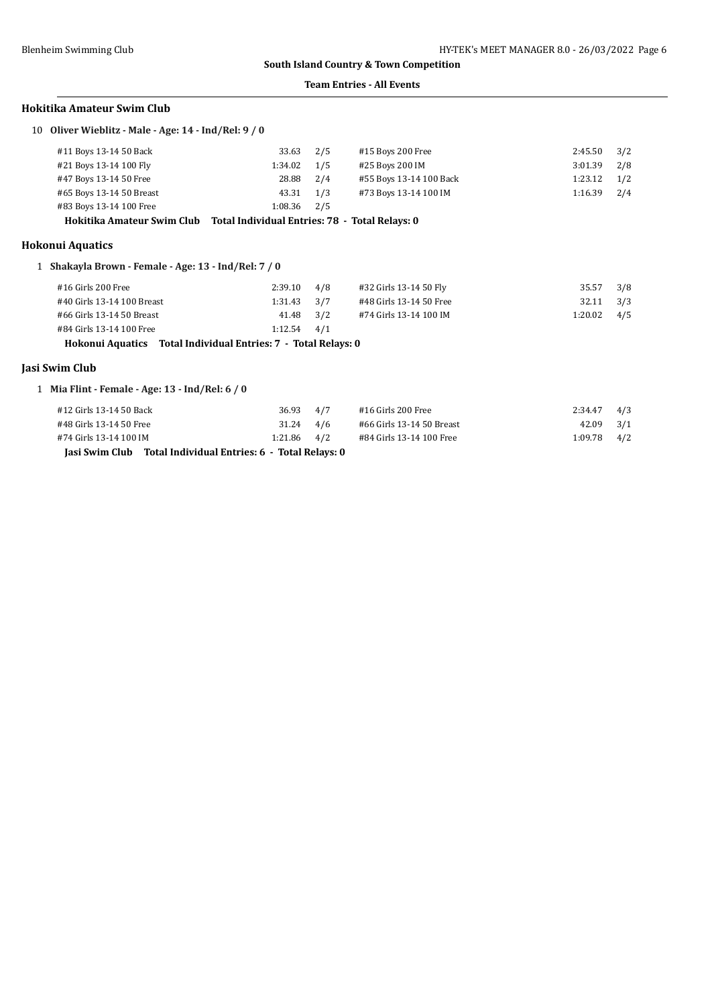#### **Team Entries - All Events**

### **Hokitika Amateur Swim Club**

10 **Oliver Wieblitz - Male - Age: 14 - Ind/Rel: 9 / 0**

| #11 Boys 13-14 50 Back   | 33.63 2/5       | #15 Boys 200 Free       | 2:45.50 | 3/2 |
|--------------------------|-----------------|-------------------------|---------|-----|
| #21 Boys 13-14 100 Fly   | $1:34.02$ $1/5$ | #25 Boys 200 IM         | 3:01.39 | 2/8 |
| #47 Boys 13-14 50 Free   | 28.88 2/4       | #55 Boys 13-14 100 Back | 1:23.12 | 1/2 |
| #65 Boys 13-14 50 Breast | 43.31 1/3       | #73 Boys 13-14 100 IM   | 1:16.39 | 2/4 |
| #83 Boys 13-14 100 Free  | $1:08.36$ $2/5$ |                         |         |     |
| ---                      | _ _ _ _ _ _ _   |                         |         |     |

**Hokitika Amateur Swim Club Total Individual Entries: 78 - Total Relays: 0**

### **Hokonui Aquatics**

1 **Shakayla Brown - Female - Age: 13 - Ind/Rel: 7 / 0**

| #16 Girls 200 Free                                             | 2:39.10         | 4/8 | #32 Girls 13-14 50 Fly  | 35.57         | 3/8 |
|----------------------------------------------------------------|-----------------|-----|-------------------------|---------------|-----|
| #40 Girls 13-14 100 Breast                                     | $1:31.43$ $3/7$ |     | #48 Girls 13-14 50 Free | 32.11         | 3/3 |
| #66 Girls 13-14 50 Breast                                      | 41.48 3/2       |     | #74 Girls 13-14 100 IM  | $1:20.02$ 4/5 |     |
| #84 Girls 13-14 100 Free                                       | $1:12.54$ $4/1$ |     |                         |               |     |
| Hokonui Aquatics Total Individual Entries: 7 - Total Relays: 0 |                 |     |                         |               |     |

# **Jasi Swim Club**

1 **Mia Flint - Female - Age: 13 - Ind/Rel: 6 / 0**

| Jasi Swim Club Total Individual Entries: 6 - Total Relays: 0 |                 |  |                           |               |     |
|--------------------------------------------------------------|-----------------|--|---------------------------|---------------|-----|
| #74 Girls 13-14 100 IM                                       | $1:21.86$ $4/2$ |  | #84 Girls 13-14 100 Free  | $1:09.78$ 4/2 |     |
| #48 Girls 13-14 50 Free                                      | $31.24$ $4/6$   |  | #66 Girls 13-14 50 Breast | $42.09$ $3/1$ |     |
| #12 Girls 13-14 50 Back                                      | 36.93 4/7       |  | #16 Girls 200 Free        | 2:34.47       | 4/3 |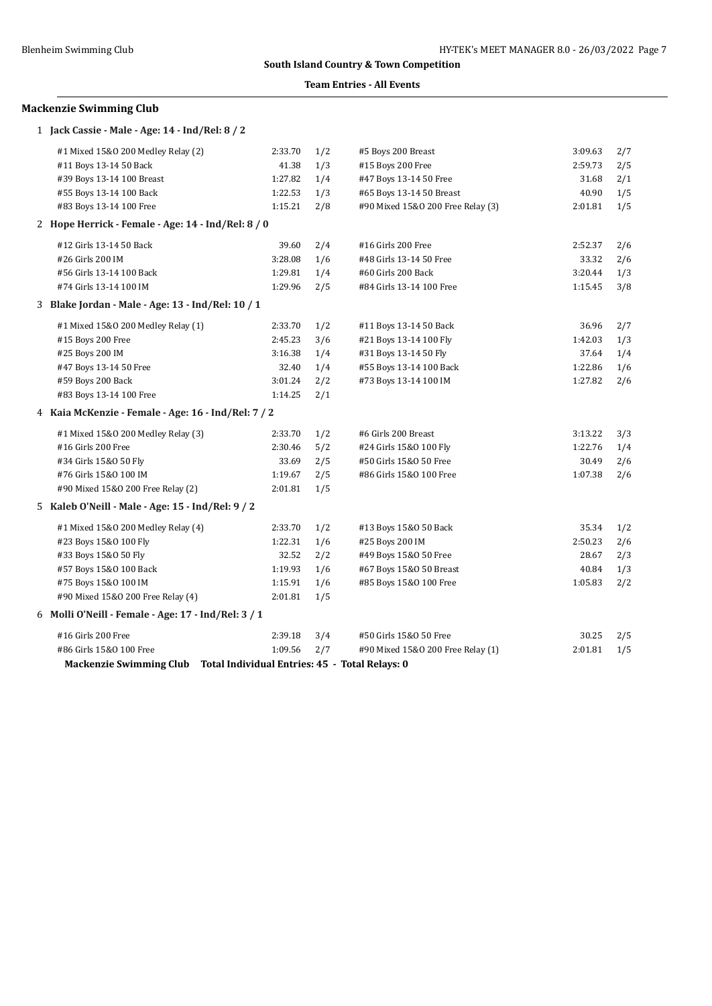### **Team Entries - All Events**

# **Mackenzie Swimming Club**

1 **Jack Cassie - Male - Age: 14 - Ind/Rel: 8 / 2**

| #1 Mixed 15&0 200 Medley Relay (2)                  | 2:33.70 | 1/2 | #5 Boys 200 Breast                | 3:09.63 | 2/7 |
|-----------------------------------------------------|---------|-----|-----------------------------------|---------|-----|
| #11 Boys 13-14 50 Back                              | 41.38   | 1/3 | #15 Boys 200 Free                 | 2:59.73 | 2/5 |
| #39 Boys 13-14 100 Breast                           | 1:27.82 | 1/4 | #47 Boys 13-14 50 Free            | 31.68   | 2/1 |
| #55 Boys 13-14 100 Back                             | 1:22.53 | 1/3 | #65 Boys 13-14 50 Breast          | 40.90   | 1/5 |
| #83 Boys 13-14 100 Free                             | 1:15.21 | 2/8 | #90 Mixed 15&0 200 Free Relay (3) | 2:01.81 | 1/5 |
| 2 Hope Herrick - Female - Age: 14 - Ind/Rel: 8 / 0  |         |     |                                   |         |     |
| #12 Girls 13-14 50 Back                             | 39.60   | 2/4 | #16 Girls 200 Free                | 2:52.37 | 2/6 |
| #26 Girls 200 IM                                    | 3:28.08 | 1/6 | #48 Girls 13-14 50 Free           | 33.32   | 2/6 |
| #56 Girls 13-14 100 Back                            | 1:29.81 | 1/4 | #60 Girls 200 Back                | 3:20.44 | 1/3 |
| #74 Girls 13-14 100 IM                              | 1:29.96 | 2/5 | #84 Girls 13-14 100 Free          | 1:15.45 | 3/8 |
| 3 Blake Jordan - Male - Age: 13 - Ind/Rel: 10 / 1   |         |     |                                   |         |     |
| #1 Mixed 15&0 200 Medley Relay (1)                  | 2:33.70 | 1/2 | #11 Boys 13-14 50 Back            | 36.96   | 2/7 |
| #15 Boys 200 Free                                   | 2:45.23 | 3/6 | #21 Boys 13-14 100 Fly            | 1:42.03 | 1/3 |
| #25 Boys 200 IM                                     | 3:16.38 | 1/4 | #31 Boys 13-14 50 Fly             | 37.64   | 1/4 |
| #47 Boys 13-14 50 Free                              | 32.40   | 1/4 | #55 Boys 13-14 100 Back           | 1:22.86 | 1/6 |
| #59 Boys 200 Back                                   | 3:01.24 | 2/2 | #73 Boys 13-14 100 IM             | 1:27.82 | 2/6 |
| #83 Boys 13-14 100 Free                             | 1:14.25 | 2/1 |                                   |         |     |
| 4 Kaia McKenzie - Female - Age: 16 - Ind/Rel: 7 / 2 |         |     |                                   |         |     |
| #1 Mixed 15&0 200 Medley Relay (3)                  | 2:33.70 | 1/2 | #6 Girls 200 Breast               | 3:13.22 | 3/3 |
| #16 Girls 200 Free                                  | 2:30.46 | 5/2 | #24 Girls 15&0 100 Fly            | 1:22.76 | 1/4 |
| #34 Girls 15&0 50 Fly                               | 33.69   | 2/5 | #50 Girls 15&0 50 Free            | 30.49   | 2/6 |
| #76 Girls 15&0 100 IM                               | 1:19.67 | 2/5 | #86 Girls 15&0 100 Free           | 1:07.38 | 2/6 |
| #90 Mixed 15&0 200 Free Relay (2)                   | 2:01.81 | 1/5 |                                   |         |     |
| 5 Kaleb O'Neill - Male - Age: 15 - Ind/Rel: 9 / 2   |         |     |                                   |         |     |
| #1 Mixed 15&0 200 Medley Relay (4)                  | 2:33.70 | 1/2 | #13 Boys 15&0 50 Back             | 35.34   | 1/2 |
| #23 Boys 15&0 100 Fly                               | 1:22.31 | 1/6 | #25 Boys 200 IM                   | 2:50.23 | 2/6 |
| #33 Boys 15&0 50 Fly                                | 32.52   | 2/2 | #49 Boys 15&0 50 Free             | 28.67   | 2/3 |
| #57 Boys 15&0 100 Back                              | 1:19.93 | 1/6 | #67 Boys 15&0 50 Breast           | 40.84   | 1/3 |
| #75 Boys 15&0 100 IM                                | 1:15.91 | 1/6 | #85 Boys 15&0 100 Free            | 1:05.83 | 2/2 |
| #90 Mixed 15&0 200 Free Relay (4)                   | 2:01.81 | 1/5 |                                   |         |     |
| 6 Molli O'Neill - Female - Age: 17 - Ind/Rel: 3 / 1 |         |     |                                   |         |     |
| #16 Girls 200 Free                                  | 2:39.18 | 3/4 | #50 Girls 15&0 50 Free            | 30.25   | 2/5 |
| #86 Girls 15&0 100 Free                             | 1:09.56 | 2/7 | #90 Mixed 15&0 200 Free Relay (1) | 2:01.81 | 1/5 |
|                                                     |         |     |                                   |         |     |

**Mackenzie Swimming Club Total Individual Entries: 45 - Total Relays: 0**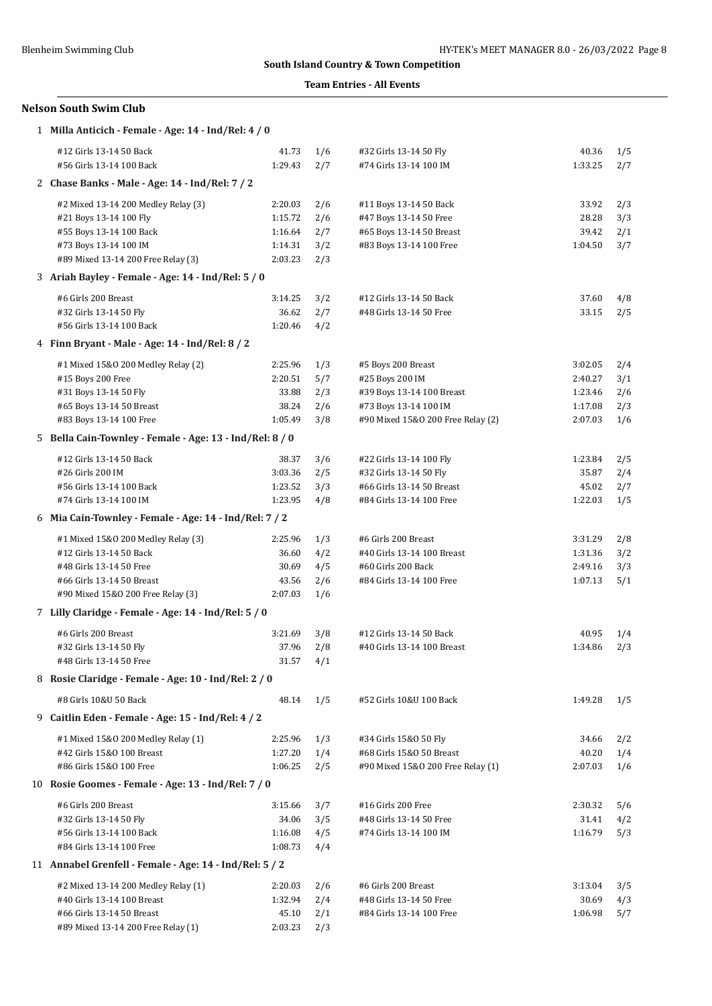### **Team Entries - All Events**

# **Nelson South Swim Club**

| 1 Milla Anticich - Female - Age: 14 - Ind/Rel: 4 / 0     |         |     |                                   |         |     |
|----------------------------------------------------------|---------|-----|-----------------------------------|---------|-----|
| #12 Girls 13-14 50 Back                                  | 41.73   | 1/6 | #32 Girls 13-14 50 Fly            | 40.36   | 1/5 |
| #56 Girls 13-14 100 Back                                 | 1:29.43 | 2/7 | #74 Girls 13-14 100 IM            | 1:33.25 | 2/7 |
| 2 Chase Banks - Male - Age: 14 - Ind/Rel: 7 / 2          |         |     |                                   |         |     |
| #2 Mixed 13-14 200 Medley Relay (3)                      | 2:20.03 | 2/6 | #11 Boys 13-14 50 Back            | 33.92   | 2/3 |
| #21 Boys 13-14 100 Fly                                   | 1:15.72 | 2/6 | #47 Boys 13-14 50 Free            | 28.28   | 3/3 |
| #55 Boys 13-14 100 Back                                  | 1:16.64 | 2/7 | #65 Boys 13-14 50 Breast          | 39.42   | 2/1 |
| #73 Boys 13-14 100 IM                                    | 1:14.31 | 3/2 | #83 Boys 13-14 100 Free           | 1:04.50 | 3/7 |
| #89 Mixed 13-14 200 Free Relay (3)                       | 2:03.23 | 2/3 |                                   |         |     |
| 3 Ariah Bayley - Female - Age: 14 - Ind/Rel: 5 / 0       |         |     |                                   |         |     |
| #6 Girls 200 Breast                                      | 3:14.25 | 3/2 | #12 Girls 13-14 50 Back           | 37.60   | 4/8 |
| #32 Girls 13-14 50 Fly                                   | 36.62   | 2/7 | #48 Girls 13-14 50 Free           | 33.15   | 2/5 |
| #56 Girls 13-14 100 Back                                 | 1:20.46 | 4/2 |                                   |         |     |
| 4 Finn Bryant - Male - Age: 14 - Ind/Rel: 8 / 2          |         |     |                                   |         |     |
| #1 Mixed 15&0 200 Medley Relay (2)                       | 2:25.96 | 1/3 | #5 Boys 200 Breast                | 3:02.05 | 2/4 |
| #15 Boys 200 Free                                        | 2:20.51 | 5/7 | #25 Boys 200 IM                   | 2:40.27 | 3/1 |
| #31 Boys 13-14 50 Fly                                    | 33.88   | 2/3 | #39 Boys 13-14 100 Breast         | 1:23.46 | 2/6 |
| #65 Boys 13-14 50 Breast                                 | 38.24   | 2/6 | #73 Boys 13-14 100 IM             | 1:17.08 | 2/3 |
| #83 Boys 13-14 100 Free                                  | 1:05.49 | 3/8 | #90 Mixed 15&0 200 Free Relay (2) | 2:07.03 | 1/6 |
| 5 Bella Cain-Townley - Female - Age: 13 - Ind/Rel: 8 / 0 |         |     |                                   |         |     |
| #12 Girls 13-14 50 Back                                  | 38.37   | 3/6 | #22 Girls 13-14 100 Fly           | 1:23.84 | 2/5 |
| #26 Girls 200 IM                                         | 3:03.36 | 2/5 | #32 Girls 13-14 50 Fly            | 35.87   | 2/4 |
| #56 Girls 13-14 100 Back                                 | 1:23.52 | 3/3 | #66 Girls 13-14 50 Breast         | 45.02   | 2/7 |
| #74 Girls 13-14 100 IM                                   | 1:23.95 | 4/8 | #84 Girls 13-14 100 Free          | 1:22.03 | 1/5 |
| 6 Mia Cain-Townley - Female - Age: 14 - Ind/Rel: 7 / 2   |         |     |                                   |         |     |
| #1 Mixed 15&0 200 Medley Relay (3)                       | 2:25.96 | 1/3 | #6 Girls 200 Breast               | 3:31.29 | 2/8 |
| #12 Girls 13-14 50 Back                                  | 36.60   | 4/2 | #40 Girls 13-14 100 Breast        | 1:31.36 | 3/2 |
| #48 Girls 13-14 50 Free                                  | 30.69   | 4/5 | #60 Girls 200 Back                | 2:49.16 | 3/3 |
| #66 Girls 13-14 50 Breast                                | 43.56   | 2/6 | #84 Girls 13-14 100 Free          | 1:07.13 | 5/1 |
| #90 Mixed 15&0 200 Free Relay (3)                        | 2:07.03 | 1/6 |                                   |         |     |
| 7 Lilly Claridge - Female - Age: 14 - Ind/Rel: 5 / 0     |         |     |                                   |         |     |
| #6 Girls 200 Breast                                      | 3:21.69 | 3/8 | #12 Girls 13-14 50 Back           | 40.95   | 1/4 |
| #32 Girls 13-14 50 Fly                                   | 37.96   | 2/8 | #40 Girls 13-14 100 Breast        | 1:34.86 | 2/3 |
| #48 Girls 13-14 50 Free                                  | 31.57   | 4/1 |                                   |         |     |
| 8 Rosie Claridge - Female - Age: 10 - Ind/Rel: 2 / 0     |         |     |                                   |         |     |
| #8 Girls 10&U 50 Back                                    | 48.14   | 1/5 | #52 Girls 10&U 100 Back           | 1:49.28 | 1/5 |
| 9 Caitlin Eden - Female - Age: 15 - Ind/Rel: 4 / 2       |         |     |                                   |         |     |
| #1 Mixed 15&0 200 Medley Relay (1)                       | 2:25.96 | 1/3 | #34 Girls 15&0 50 Fly             | 34.66   | 2/2 |
| #42 Girls 15&0 100 Breast                                | 1:27.20 | 1/4 | #68 Girls 15&0 50 Breast          | 40.20   | 1/4 |
| #86 Girls 15&0 100 Free                                  | 1:06.25 | 2/5 | #90 Mixed 15&0 200 Free Relay (1) | 2:07.03 | 1/6 |
| 10 Rosie Goomes - Female - Age: 13 - Ind/Rel: 7 / 0      |         |     |                                   |         |     |
| #6 Girls 200 Breast                                      | 3:15.66 | 3/7 | #16 Girls 200 Free                | 2:30.32 | 5/6 |
| #32 Girls 13-14 50 Fly                                   | 34.06   | 3/5 | #48 Girls 13-14 50 Free           | 31.41   | 4/2 |
| #56 Girls 13-14 100 Back                                 | 1:16.08 | 4/5 | #74 Girls 13-14 100 IM            | 1:16.79 | 5/3 |
| #84 Girls 13-14 100 Free                                 | 1:08.73 | 4/4 |                                   |         |     |
| 11 Annabel Grenfell - Female - Age: 14 - Ind/Rel: 5 / 2  |         |     |                                   |         |     |
| #2 Mixed 13-14 200 Medley Relay (1)                      | 2:20.03 | 2/6 | #6 Girls 200 Breast               | 3:13.04 | 3/5 |
| #40 Girls 13-14 100 Breast                               | 1:32.94 | 2/4 | #48 Girls 13-14 50 Free           | 30.69   | 4/3 |
| #66 Girls 13-14 50 Breast                                | 45.10   | 2/1 | #84 Girls 13-14 100 Free          | 1:06.98 | 5/7 |
| #89 Mixed 13-14 200 Free Relay (1)                       | 2:03.23 | 2/3 |                                   |         |     |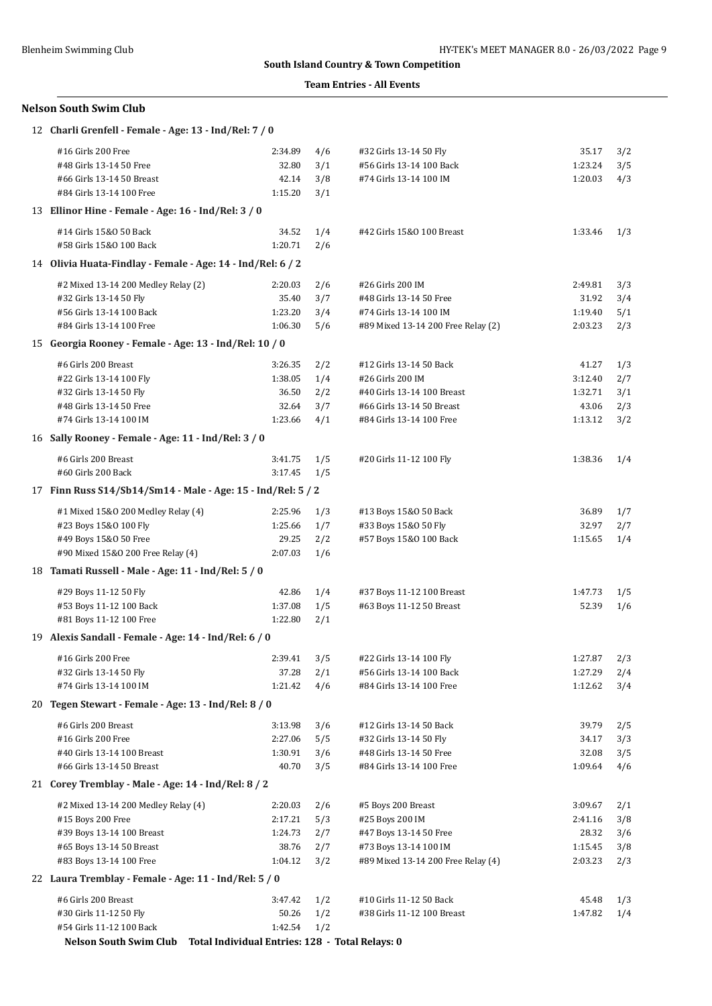### **Team Entries - All Events**

# **Nelson South Swim Club**

| #16 Girls 200 Free<br>35.17<br>2:34.89<br>4/6<br>#32 Girls 13-14 50 Fly<br>3/2<br>32.80<br>3/1<br>#48 Girls 13-14 50 Free<br>#56 Girls 13-14 100 Back<br>1:23.24<br>3/5<br>#66 Girls 13-14 50 Breast<br>42.14<br>3/8<br>#74 Girls 13-14 100 IM<br>1:20.03<br>4/3<br>1:15.20<br>3/1<br>#84 Girls 13-14 100 Free<br>13 Ellinor Hine - Female - Age: 16 - Ind/Rel: 3 / 0<br>#14 Girls 15&0 50 Back<br>34.52<br>1/4<br>#42 Girls 15&0 100 Breast<br>1:33.46<br>1/3<br>#58 Girls 15&0 100 Back<br>1:20.71<br>2/6<br>14 Olivia Huata-Findlay - Female - Age: 14 - Ind/Rel: 6 / 2<br>#2 Mixed 13-14 200 Medley Relay (2)<br>2:20.03<br>2/6<br>#26 Girls 200 IM<br>2:49.81<br>3/3<br>35.40<br>3/7<br>#32 Girls 13-14 50 Fly<br>31.92<br>3/4<br>#48 Girls 13-14 50 Free<br>1:23.20<br>#56 Girls 13-14 100 Back<br>3/4<br>#74 Girls 13-14 100 IM<br>1:19.40<br>5/1<br>#84 Girls 13-14 100 Free<br>1:06.30<br>5/6<br>#89 Mixed 13-14 200 Free Relay (2)<br>2:03.23<br>2/3<br>15 Georgia Rooney - Female - Age: 13 - Ind/Rel: 10 / 0<br>#6 Girls 200 Breast<br>3:26.35<br>2/2<br>#12 Girls 13-14 50 Back<br>41.27<br>1/3<br>#22 Girls 13-14 100 Fly<br>1:38.05<br>1/4<br>#26 Girls 200 IM<br>3:12.40<br>2/7<br>36.50<br>#32 Girls 13-14 50 Fly<br>2/2<br>#40 Girls 13-14 100 Breast<br>1:32.71<br>3/1<br>32.64<br>3/7<br>#48 Girls 13-14 50 Free<br>43.06<br>2/3<br>#66 Girls 13-14 50 Breast<br>1:23.66<br>#74 Girls 13-14 100 IM<br>4/1<br>#84 Girls 13-14 100 Free<br>1:13.12<br>3/2<br>16 Sally Rooney - Female - Age: 11 - Ind/Rel: 3 / 0<br>#6 Girls 200 Breast<br>3:41.75<br>1/5<br>#20 Girls 11-12 100 Fly<br>1:38.36<br>1/4<br>#60 Girls 200 Back<br>3:17.45<br>1/5<br>17 Finn Russ S14/Sb14/Sm14 - Male - Age: 15 - Ind/Rel: 5 / 2<br>#1 Mixed 15&0 200 Medley Relay (4)<br>2:25.96<br>1/3<br>36.89<br>#13 Boys 15&0 50 Back<br>1/7<br>#23 Boys 15&0 100 Fly<br>1:25.66<br>1/7<br>#33 Boys 15&0 50 Fly<br>32.97<br>2/7<br>#49 Boys 15&0 50 Free<br>29.25<br>2/2<br>#57 Boys 15&0 100 Back<br>1:15.65<br>1/4<br>#90 Mixed 15&0 200 Free Relay (4)<br>2:07.03<br>1/6<br>18 Tamati Russell - Male - Age: 11 - Ind/Rel: 5 / 0<br>#29 Boys 11-12 50 Fly<br>42.86<br>1/4<br>#37 Boys 11-12 100 Breast<br>1:47.73<br>1/5<br>1:37.08<br>#53 Boys 11-12 100 Back<br>1/5<br>#63 Boys 11-12 50 Breast<br>52.39<br>1/6<br>1:22.80<br>#81 Boys 11-12 100 Free<br>2/1<br>19 Alexis Sandall - Female - Age: 14 - Ind/Rel: 6 / 0<br>#16 Girls 200 Free<br>2:39.41<br>3/5<br>#22 Girls 13-14 100 Fly<br>1:27.87<br>2/3<br>#32 Girls 13-14 50 Fly<br>37.28<br>2/1<br>#56 Girls 13-14 100 Back<br>1:27.29<br>2/4<br>#74 Girls 13-14 100 IM<br>1:21.42<br>4/6<br>1:12.62<br>3/4<br>#84 Girls 13-14 100 Free<br>20 Tegen Stewart - Female - Age: 13 - Ind/Rel: 8 / 0<br>#6 Girls 200 Breast<br>3:13.98<br>#12 Girls 13-14 50 Back<br>39.79<br>3/6<br>2/5<br>#16 Girls 200 Free<br>2:27.06<br>5/5<br>#32 Girls 13-14 50 Fly<br>34.17<br>3/3<br>#40 Girls 13-14 100 Breast<br>1:30.91<br>3/6<br>#48 Girls 13-14 50 Free<br>32.08<br>3/5<br>#66 Girls 13-14 50 Breast<br>40.70<br>3/5<br>#84 Girls 13-14 100 Free<br>1:09.64<br>4/6<br>21 Corey Tremblay - Male - Age: 14 - Ind/Rel: 8 / 2<br>#2 Mixed 13-14 200 Medley Relay (4)<br>#5 Boys 200 Breast<br>2:20.03<br>2/6<br>3:09.67<br>2/1<br>#15 Boys 200 Free<br>2:17.21<br>5/3<br>#25 Boys 200 IM<br>2:41.16<br>3/8<br>#39 Boys 13-14 100 Breast<br>1:24.73<br>2/7<br>#47 Boys 13-14 50 Free<br>28.32<br>3/6<br>38.76<br>#65 Boys 13-14 50 Breast<br>2/7<br>#73 Boys 13-14 100 IM<br>1:15.45<br>3/8<br>#83 Boys 13-14 100 Free<br>1:04.12<br>3/2<br>#89 Mixed 13-14 200 Free Relay (4)<br>2:03.23<br>2/3<br>22 Laura Tremblay - Female - Age: 11 - Ind/Rel: 5 / 0<br>#6 Girls 200 Breast<br>3:47.42<br>1/2<br>#10 Girls 11-12 50 Back<br>45.48<br>1/3<br>#30 Girls 11-12 50 Fly<br>50.26<br>1/2<br>#38 Girls 11-12 100 Breast<br>1:47.82<br>1/4<br>1:42.54<br>#54 Girls 11-12 100 Back<br>1/2<br>Nelson South Swim Club Total Individual Entries: 128 - Total Relays: 0 | 12 Charli Grenfell - Female - Age: 13 - Ind/Rel: 7 / 0 |  |  |  |
|---------------------------------------------------------------------------------------------------------------------------------------------------------------------------------------------------------------------------------------------------------------------------------------------------------------------------------------------------------------------------------------------------------------------------------------------------------------------------------------------------------------------------------------------------------------------------------------------------------------------------------------------------------------------------------------------------------------------------------------------------------------------------------------------------------------------------------------------------------------------------------------------------------------------------------------------------------------------------------------------------------------------------------------------------------------------------------------------------------------------------------------------------------------------------------------------------------------------------------------------------------------------------------------------------------------------------------------------------------------------------------------------------------------------------------------------------------------------------------------------------------------------------------------------------------------------------------------------------------------------------------------------------------------------------------------------------------------------------------------------------------------------------------------------------------------------------------------------------------------------------------------------------------------------------------------------------------------------------------------------------------------------------------------------------------------------------------------------------------------------------------------------------------------------------------------------------------------------------------------------------------------------------------------------------------------------------------------------------------------------------------------------------------------------------------------------------------------------------------------------------------------------------------------------------------------------------------------------------------------------------------------------------------------------------------------------------------------------------------------------------------------------------------------------------------------------------------------------------------------------------------------------------------------------------------------------------------------------------------------------------------------------------------------------------------------------------------------------------------------------------------------------------------------------------------------------------------------------------------------------------------------------------------------------------------------------------------------------------------------------------------------------------------------------------------------------------------------------------------------------------------------------------------------------------------------------------------------------------------------------------------------------------------------------------------------------------------------------------------------------------------------------------------------------------------------------------------------------------------------------------------------------------------------------------------------------------------------------------------------------------|--------------------------------------------------------|--|--|--|
|                                                                                                                                                                                                                                                                                                                                                                                                                                                                                                                                                                                                                                                                                                                                                                                                                                                                                                                                                                                                                                                                                                                                                                                                                                                                                                                                                                                                                                                                                                                                                                                                                                                                                                                                                                                                                                                                                                                                                                                                                                                                                                                                                                                                                                                                                                                                                                                                                                                                                                                                                                                                                                                                                                                                                                                                                                                                                                                                                                                                                                                                                                                                                                                                                                                                                                                                                                                                                                                                                                                                                                                                                                                                                                                                                                                                                                                                                                                                                                                                   |                                                        |  |  |  |
|                                                                                                                                                                                                                                                                                                                                                                                                                                                                                                                                                                                                                                                                                                                                                                                                                                                                                                                                                                                                                                                                                                                                                                                                                                                                                                                                                                                                                                                                                                                                                                                                                                                                                                                                                                                                                                                                                                                                                                                                                                                                                                                                                                                                                                                                                                                                                                                                                                                                                                                                                                                                                                                                                                                                                                                                                                                                                                                                                                                                                                                                                                                                                                                                                                                                                                                                                                                                                                                                                                                                                                                                                                                                                                                                                                                                                                                                                                                                                                                                   |                                                        |  |  |  |
|                                                                                                                                                                                                                                                                                                                                                                                                                                                                                                                                                                                                                                                                                                                                                                                                                                                                                                                                                                                                                                                                                                                                                                                                                                                                                                                                                                                                                                                                                                                                                                                                                                                                                                                                                                                                                                                                                                                                                                                                                                                                                                                                                                                                                                                                                                                                                                                                                                                                                                                                                                                                                                                                                                                                                                                                                                                                                                                                                                                                                                                                                                                                                                                                                                                                                                                                                                                                                                                                                                                                                                                                                                                                                                                                                                                                                                                                                                                                                                                                   |                                                        |  |  |  |
|                                                                                                                                                                                                                                                                                                                                                                                                                                                                                                                                                                                                                                                                                                                                                                                                                                                                                                                                                                                                                                                                                                                                                                                                                                                                                                                                                                                                                                                                                                                                                                                                                                                                                                                                                                                                                                                                                                                                                                                                                                                                                                                                                                                                                                                                                                                                                                                                                                                                                                                                                                                                                                                                                                                                                                                                                                                                                                                                                                                                                                                                                                                                                                                                                                                                                                                                                                                                                                                                                                                                                                                                                                                                                                                                                                                                                                                                                                                                                                                                   |                                                        |  |  |  |
|                                                                                                                                                                                                                                                                                                                                                                                                                                                                                                                                                                                                                                                                                                                                                                                                                                                                                                                                                                                                                                                                                                                                                                                                                                                                                                                                                                                                                                                                                                                                                                                                                                                                                                                                                                                                                                                                                                                                                                                                                                                                                                                                                                                                                                                                                                                                                                                                                                                                                                                                                                                                                                                                                                                                                                                                                                                                                                                                                                                                                                                                                                                                                                                                                                                                                                                                                                                                                                                                                                                                                                                                                                                                                                                                                                                                                                                                                                                                                                                                   |                                                        |  |  |  |
|                                                                                                                                                                                                                                                                                                                                                                                                                                                                                                                                                                                                                                                                                                                                                                                                                                                                                                                                                                                                                                                                                                                                                                                                                                                                                                                                                                                                                                                                                                                                                                                                                                                                                                                                                                                                                                                                                                                                                                                                                                                                                                                                                                                                                                                                                                                                                                                                                                                                                                                                                                                                                                                                                                                                                                                                                                                                                                                                                                                                                                                                                                                                                                                                                                                                                                                                                                                                                                                                                                                                                                                                                                                                                                                                                                                                                                                                                                                                                                                                   |                                                        |  |  |  |
|                                                                                                                                                                                                                                                                                                                                                                                                                                                                                                                                                                                                                                                                                                                                                                                                                                                                                                                                                                                                                                                                                                                                                                                                                                                                                                                                                                                                                                                                                                                                                                                                                                                                                                                                                                                                                                                                                                                                                                                                                                                                                                                                                                                                                                                                                                                                                                                                                                                                                                                                                                                                                                                                                                                                                                                                                                                                                                                                                                                                                                                                                                                                                                                                                                                                                                                                                                                                                                                                                                                                                                                                                                                                                                                                                                                                                                                                                                                                                                                                   |                                                        |  |  |  |
|                                                                                                                                                                                                                                                                                                                                                                                                                                                                                                                                                                                                                                                                                                                                                                                                                                                                                                                                                                                                                                                                                                                                                                                                                                                                                                                                                                                                                                                                                                                                                                                                                                                                                                                                                                                                                                                                                                                                                                                                                                                                                                                                                                                                                                                                                                                                                                                                                                                                                                                                                                                                                                                                                                                                                                                                                                                                                                                                                                                                                                                                                                                                                                                                                                                                                                                                                                                                                                                                                                                                                                                                                                                                                                                                                                                                                                                                                                                                                                                                   |                                                        |  |  |  |
|                                                                                                                                                                                                                                                                                                                                                                                                                                                                                                                                                                                                                                                                                                                                                                                                                                                                                                                                                                                                                                                                                                                                                                                                                                                                                                                                                                                                                                                                                                                                                                                                                                                                                                                                                                                                                                                                                                                                                                                                                                                                                                                                                                                                                                                                                                                                                                                                                                                                                                                                                                                                                                                                                                                                                                                                                                                                                                                                                                                                                                                                                                                                                                                                                                                                                                                                                                                                                                                                                                                                                                                                                                                                                                                                                                                                                                                                                                                                                                                                   |                                                        |  |  |  |
|                                                                                                                                                                                                                                                                                                                                                                                                                                                                                                                                                                                                                                                                                                                                                                                                                                                                                                                                                                                                                                                                                                                                                                                                                                                                                                                                                                                                                                                                                                                                                                                                                                                                                                                                                                                                                                                                                                                                                                                                                                                                                                                                                                                                                                                                                                                                                                                                                                                                                                                                                                                                                                                                                                                                                                                                                                                                                                                                                                                                                                                                                                                                                                                                                                                                                                                                                                                                                                                                                                                                                                                                                                                                                                                                                                                                                                                                                                                                                                                                   |                                                        |  |  |  |
|                                                                                                                                                                                                                                                                                                                                                                                                                                                                                                                                                                                                                                                                                                                                                                                                                                                                                                                                                                                                                                                                                                                                                                                                                                                                                                                                                                                                                                                                                                                                                                                                                                                                                                                                                                                                                                                                                                                                                                                                                                                                                                                                                                                                                                                                                                                                                                                                                                                                                                                                                                                                                                                                                                                                                                                                                                                                                                                                                                                                                                                                                                                                                                                                                                                                                                                                                                                                                                                                                                                                                                                                                                                                                                                                                                                                                                                                                                                                                                                                   |                                                        |  |  |  |
|                                                                                                                                                                                                                                                                                                                                                                                                                                                                                                                                                                                                                                                                                                                                                                                                                                                                                                                                                                                                                                                                                                                                                                                                                                                                                                                                                                                                                                                                                                                                                                                                                                                                                                                                                                                                                                                                                                                                                                                                                                                                                                                                                                                                                                                                                                                                                                                                                                                                                                                                                                                                                                                                                                                                                                                                                                                                                                                                                                                                                                                                                                                                                                                                                                                                                                                                                                                                                                                                                                                                                                                                                                                                                                                                                                                                                                                                                                                                                                                                   |                                                        |  |  |  |
|                                                                                                                                                                                                                                                                                                                                                                                                                                                                                                                                                                                                                                                                                                                                                                                                                                                                                                                                                                                                                                                                                                                                                                                                                                                                                                                                                                                                                                                                                                                                                                                                                                                                                                                                                                                                                                                                                                                                                                                                                                                                                                                                                                                                                                                                                                                                                                                                                                                                                                                                                                                                                                                                                                                                                                                                                                                                                                                                                                                                                                                                                                                                                                                                                                                                                                                                                                                                                                                                                                                                                                                                                                                                                                                                                                                                                                                                                                                                                                                                   |                                                        |  |  |  |
|                                                                                                                                                                                                                                                                                                                                                                                                                                                                                                                                                                                                                                                                                                                                                                                                                                                                                                                                                                                                                                                                                                                                                                                                                                                                                                                                                                                                                                                                                                                                                                                                                                                                                                                                                                                                                                                                                                                                                                                                                                                                                                                                                                                                                                                                                                                                                                                                                                                                                                                                                                                                                                                                                                                                                                                                                                                                                                                                                                                                                                                                                                                                                                                                                                                                                                                                                                                                                                                                                                                                                                                                                                                                                                                                                                                                                                                                                                                                                                                                   |                                                        |  |  |  |
|                                                                                                                                                                                                                                                                                                                                                                                                                                                                                                                                                                                                                                                                                                                                                                                                                                                                                                                                                                                                                                                                                                                                                                                                                                                                                                                                                                                                                                                                                                                                                                                                                                                                                                                                                                                                                                                                                                                                                                                                                                                                                                                                                                                                                                                                                                                                                                                                                                                                                                                                                                                                                                                                                                                                                                                                                                                                                                                                                                                                                                                                                                                                                                                                                                                                                                                                                                                                                                                                                                                                                                                                                                                                                                                                                                                                                                                                                                                                                                                                   |                                                        |  |  |  |
|                                                                                                                                                                                                                                                                                                                                                                                                                                                                                                                                                                                                                                                                                                                                                                                                                                                                                                                                                                                                                                                                                                                                                                                                                                                                                                                                                                                                                                                                                                                                                                                                                                                                                                                                                                                                                                                                                                                                                                                                                                                                                                                                                                                                                                                                                                                                                                                                                                                                                                                                                                                                                                                                                                                                                                                                                                                                                                                                                                                                                                                                                                                                                                                                                                                                                                                                                                                                                                                                                                                                                                                                                                                                                                                                                                                                                                                                                                                                                                                                   |                                                        |  |  |  |
|                                                                                                                                                                                                                                                                                                                                                                                                                                                                                                                                                                                                                                                                                                                                                                                                                                                                                                                                                                                                                                                                                                                                                                                                                                                                                                                                                                                                                                                                                                                                                                                                                                                                                                                                                                                                                                                                                                                                                                                                                                                                                                                                                                                                                                                                                                                                                                                                                                                                                                                                                                                                                                                                                                                                                                                                                                                                                                                                                                                                                                                                                                                                                                                                                                                                                                                                                                                                                                                                                                                                                                                                                                                                                                                                                                                                                                                                                                                                                                                                   |                                                        |  |  |  |
|                                                                                                                                                                                                                                                                                                                                                                                                                                                                                                                                                                                                                                                                                                                                                                                                                                                                                                                                                                                                                                                                                                                                                                                                                                                                                                                                                                                                                                                                                                                                                                                                                                                                                                                                                                                                                                                                                                                                                                                                                                                                                                                                                                                                                                                                                                                                                                                                                                                                                                                                                                                                                                                                                                                                                                                                                                                                                                                                                                                                                                                                                                                                                                                                                                                                                                                                                                                                                                                                                                                                                                                                                                                                                                                                                                                                                                                                                                                                                                                                   |                                                        |  |  |  |
|                                                                                                                                                                                                                                                                                                                                                                                                                                                                                                                                                                                                                                                                                                                                                                                                                                                                                                                                                                                                                                                                                                                                                                                                                                                                                                                                                                                                                                                                                                                                                                                                                                                                                                                                                                                                                                                                                                                                                                                                                                                                                                                                                                                                                                                                                                                                                                                                                                                                                                                                                                                                                                                                                                                                                                                                                                                                                                                                                                                                                                                                                                                                                                                                                                                                                                                                                                                                                                                                                                                                                                                                                                                                                                                                                                                                                                                                                                                                                                                                   |                                                        |  |  |  |
|                                                                                                                                                                                                                                                                                                                                                                                                                                                                                                                                                                                                                                                                                                                                                                                                                                                                                                                                                                                                                                                                                                                                                                                                                                                                                                                                                                                                                                                                                                                                                                                                                                                                                                                                                                                                                                                                                                                                                                                                                                                                                                                                                                                                                                                                                                                                                                                                                                                                                                                                                                                                                                                                                                                                                                                                                                                                                                                                                                                                                                                                                                                                                                                                                                                                                                                                                                                                                                                                                                                                                                                                                                                                                                                                                                                                                                                                                                                                                                                                   |                                                        |  |  |  |
|                                                                                                                                                                                                                                                                                                                                                                                                                                                                                                                                                                                                                                                                                                                                                                                                                                                                                                                                                                                                                                                                                                                                                                                                                                                                                                                                                                                                                                                                                                                                                                                                                                                                                                                                                                                                                                                                                                                                                                                                                                                                                                                                                                                                                                                                                                                                                                                                                                                                                                                                                                                                                                                                                                                                                                                                                                                                                                                                                                                                                                                                                                                                                                                                                                                                                                                                                                                                                                                                                                                                                                                                                                                                                                                                                                                                                                                                                                                                                                                                   |                                                        |  |  |  |
|                                                                                                                                                                                                                                                                                                                                                                                                                                                                                                                                                                                                                                                                                                                                                                                                                                                                                                                                                                                                                                                                                                                                                                                                                                                                                                                                                                                                                                                                                                                                                                                                                                                                                                                                                                                                                                                                                                                                                                                                                                                                                                                                                                                                                                                                                                                                                                                                                                                                                                                                                                                                                                                                                                                                                                                                                                                                                                                                                                                                                                                                                                                                                                                                                                                                                                                                                                                                                                                                                                                                                                                                                                                                                                                                                                                                                                                                                                                                                                                                   |                                                        |  |  |  |
|                                                                                                                                                                                                                                                                                                                                                                                                                                                                                                                                                                                                                                                                                                                                                                                                                                                                                                                                                                                                                                                                                                                                                                                                                                                                                                                                                                                                                                                                                                                                                                                                                                                                                                                                                                                                                                                                                                                                                                                                                                                                                                                                                                                                                                                                                                                                                                                                                                                                                                                                                                                                                                                                                                                                                                                                                                                                                                                                                                                                                                                                                                                                                                                                                                                                                                                                                                                                                                                                                                                                                                                                                                                                                                                                                                                                                                                                                                                                                                                                   |                                                        |  |  |  |
|                                                                                                                                                                                                                                                                                                                                                                                                                                                                                                                                                                                                                                                                                                                                                                                                                                                                                                                                                                                                                                                                                                                                                                                                                                                                                                                                                                                                                                                                                                                                                                                                                                                                                                                                                                                                                                                                                                                                                                                                                                                                                                                                                                                                                                                                                                                                                                                                                                                                                                                                                                                                                                                                                                                                                                                                                                                                                                                                                                                                                                                                                                                                                                                                                                                                                                                                                                                                                                                                                                                                                                                                                                                                                                                                                                                                                                                                                                                                                                                                   |                                                        |  |  |  |
|                                                                                                                                                                                                                                                                                                                                                                                                                                                                                                                                                                                                                                                                                                                                                                                                                                                                                                                                                                                                                                                                                                                                                                                                                                                                                                                                                                                                                                                                                                                                                                                                                                                                                                                                                                                                                                                                                                                                                                                                                                                                                                                                                                                                                                                                                                                                                                                                                                                                                                                                                                                                                                                                                                                                                                                                                                                                                                                                                                                                                                                                                                                                                                                                                                                                                                                                                                                                                                                                                                                                                                                                                                                                                                                                                                                                                                                                                                                                                                                                   |                                                        |  |  |  |
|                                                                                                                                                                                                                                                                                                                                                                                                                                                                                                                                                                                                                                                                                                                                                                                                                                                                                                                                                                                                                                                                                                                                                                                                                                                                                                                                                                                                                                                                                                                                                                                                                                                                                                                                                                                                                                                                                                                                                                                                                                                                                                                                                                                                                                                                                                                                                                                                                                                                                                                                                                                                                                                                                                                                                                                                                                                                                                                                                                                                                                                                                                                                                                                                                                                                                                                                                                                                                                                                                                                                                                                                                                                                                                                                                                                                                                                                                                                                                                                                   |                                                        |  |  |  |
|                                                                                                                                                                                                                                                                                                                                                                                                                                                                                                                                                                                                                                                                                                                                                                                                                                                                                                                                                                                                                                                                                                                                                                                                                                                                                                                                                                                                                                                                                                                                                                                                                                                                                                                                                                                                                                                                                                                                                                                                                                                                                                                                                                                                                                                                                                                                                                                                                                                                                                                                                                                                                                                                                                                                                                                                                                                                                                                                                                                                                                                                                                                                                                                                                                                                                                                                                                                                                                                                                                                                                                                                                                                                                                                                                                                                                                                                                                                                                                                                   |                                                        |  |  |  |
|                                                                                                                                                                                                                                                                                                                                                                                                                                                                                                                                                                                                                                                                                                                                                                                                                                                                                                                                                                                                                                                                                                                                                                                                                                                                                                                                                                                                                                                                                                                                                                                                                                                                                                                                                                                                                                                                                                                                                                                                                                                                                                                                                                                                                                                                                                                                                                                                                                                                                                                                                                                                                                                                                                                                                                                                                                                                                                                                                                                                                                                                                                                                                                                                                                                                                                                                                                                                                                                                                                                                                                                                                                                                                                                                                                                                                                                                                                                                                                                                   |                                                        |  |  |  |
|                                                                                                                                                                                                                                                                                                                                                                                                                                                                                                                                                                                                                                                                                                                                                                                                                                                                                                                                                                                                                                                                                                                                                                                                                                                                                                                                                                                                                                                                                                                                                                                                                                                                                                                                                                                                                                                                                                                                                                                                                                                                                                                                                                                                                                                                                                                                                                                                                                                                                                                                                                                                                                                                                                                                                                                                                                                                                                                                                                                                                                                                                                                                                                                                                                                                                                                                                                                                                                                                                                                                                                                                                                                                                                                                                                                                                                                                                                                                                                                                   |                                                        |  |  |  |
|                                                                                                                                                                                                                                                                                                                                                                                                                                                                                                                                                                                                                                                                                                                                                                                                                                                                                                                                                                                                                                                                                                                                                                                                                                                                                                                                                                                                                                                                                                                                                                                                                                                                                                                                                                                                                                                                                                                                                                                                                                                                                                                                                                                                                                                                                                                                                                                                                                                                                                                                                                                                                                                                                                                                                                                                                                                                                                                                                                                                                                                                                                                                                                                                                                                                                                                                                                                                                                                                                                                                                                                                                                                                                                                                                                                                                                                                                                                                                                                                   |                                                        |  |  |  |
|                                                                                                                                                                                                                                                                                                                                                                                                                                                                                                                                                                                                                                                                                                                                                                                                                                                                                                                                                                                                                                                                                                                                                                                                                                                                                                                                                                                                                                                                                                                                                                                                                                                                                                                                                                                                                                                                                                                                                                                                                                                                                                                                                                                                                                                                                                                                                                                                                                                                                                                                                                                                                                                                                                                                                                                                                                                                                                                                                                                                                                                                                                                                                                                                                                                                                                                                                                                                                                                                                                                                                                                                                                                                                                                                                                                                                                                                                                                                                                                                   |                                                        |  |  |  |
|                                                                                                                                                                                                                                                                                                                                                                                                                                                                                                                                                                                                                                                                                                                                                                                                                                                                                                                                                                                                                                                                                                                                                                                                                                                                                                                                                                                                                                                                                                                                                                                                                                                                                                                                                                                                                                                                                                                                                                                                                                                                                                                                                                                                                                                                                                                                                                                                                                                                                                                                                                                                                                                                                                                                                                                                                                                                                                                                                                                                                                                                                                                                                                                                                                                                                                                                                                                                                                                                                                                                                                                                                                                                                                                                                                                                                                                                                                                                                                                                   |                                                        |  |  |  |
|                                                                                                                                                                                                                                                                                                                                                                                                                                                                                                                                                                                                                                                                                                                                                                                                                                                                                                                                                                                                                                                                                                                                                                                                                                                                                                                                                                                                                                                                                                                                                                                                                                                                                                                                                                                                                                                                                                                                                                                                                                                                                                                                                                                                                                                                                                                                                                                                                                                                                                                                                                                                                                                                                                                                                                                                                                                                                                                                                                                                                                                                                                                                                                                                                                                                                                                                                                                                                                                                                                                                                                                                                                                                                                                                                                                                                                                                                                                                                                                                   |                                                        |  |  |  |
|                                                                                                                                                                                                                                                                                                                                                                                                                                                                                                                                                                                                                                                                                                                                                                                                                                                                                                                                                                                                                                                                                                                                                                                                                                                                                                                                                                                                                                                                                                                                                                                                                                                                                                                                                                                                                                                                                                                                                                                                                                                                                                                                                                                                                                                                                                                                                                                                                                                                                                                                                                                                                                                                                                                                                                                                                                                                                                                                                                                                                                                                                                                                                                                                                                                                                                                                                                                                                                                                                                                                                                                                                                                                                                                                                                                                                                                                                                                                                                                                   |                                                        |  |  |  |
|                                                                                                                                                                                                                                                                                                                                                                                                                                                                                                                                                                                                                                                                                                                                                                                                                                                                                                                                                                                                                                                                                                                                                                                                                                                                                                                                                                                                                                                                                                                                                                                                                                                                                                                                                                                                                                                                                                                                                                                                                                                                                                                                                                                                                                                                                                                                                                                                                                                                                                                                                                                                                                                                                                                                                                                                                                                                                                                                                                                                                                                                                                                                                                                                                                                                                                                                                                                                                                                                                                                                                                                                                                                                                                                                                                                                                                                                                                                                                                                                   |                                                        |  |  |  |
|                                                                                                                                                                                                                                                                                                                                                                                                                                                                                                                                                                                                                                                                                                                                                                                                                                                                                                                                                                                                                                                                                                                                                                                                                                                                                                                                                                                                                                                                                                                                                                                                                                                                                                                                                                                                                                                                                                                                                                                                                                                                                                                                                                                                                                                                                                                                                                                                                                                                                                                                                                                                                                                                                                                                                                                                                                                                                                                                                                                                                                                                                                                                                                                                                                                                                                                                                                                                                                                                                                                                                                                                                                                                                                                                                                                                                                                                                                                                                                                                   |                                                        |  |  |  |
|                                                                                                                                                                                                                                                                                                                                                                                                                                                                                                                                                                                                                                                                                                                                                                                                                                                                                                                                                                                                                                                                                                                                                                                                                                                                                                                                                                                                                                                                                                                                                                                                                                                                                                                                                                                                                                                                                                                                                                                                                                                                                                                                                                                                                                                                                                                                                                                                                                                                                                                                                                                                                                                                                                                                                                                                                                                                                                                                                                                                                                                                                                                                                                                                                                                                                                                                                                                                                                                                                                                                                                                                                                                                                                                                                                                                                                                                                                                                                                                                   |                                                        |  |  |  |
|                                                                                                                                                                                                                                                                                                                                                                                                                                                                                                                                                                                                                                                                                                                                                                                                                                                                                                                                                                                                                                                                                                                                                                                                                                                                                                                                                                                                                                                                                                                                                                                                                                                                                                                                                                                                                                                                                                                                                                                                                                                                                                                                                                                                                                                                                                                                                                                                                                                                                                                                                                                                                                                                                                                                                                                                                                                                                                                                                                                                                                                                                                                                                                                                                                                                                                                                                                                                                                                                                                                                                                                                                                                                                                                                                                                                                                                                                                                                                                                                   |                                                        |  |  |  |
|                                                                                                                                                                                                                                                                                                                                                                                                                                                                                                                                                                                                                                                                                                                                                                                                                                                                                                                                                                                                                                                                                                                                                                                                                                                                                                                                                                                                                                                                                                                                                                                                                                                                                                                                                                                                                                                                                                                                                                                                                                                                                                                                                                                                                                                                                                                                                                                                                                                                                                                                                                                                                                                                                                                                                                                                                                                                                                                                                                                                                                                                                                                                                                                                                                                                                                                                                                                                                                                                                                                                                                                                                                                                                                                                                                                                                                                                                                                                                                                                   |                                                        |  |  |  |
|                                                                                                                                                                                                                                                                                                                                                                                                                                                                                                                                                                                                                                                                                                                                                                                                                                                                                                                                                                                                                                                                                                                                                                                                                                                                                                                                                                                                                                                                                                                                                                                                                                                                                                                                                                                                                                                                                                                                                                                                                                                                                                                                                                                                                                                                                                                                                                                                                                                                                                                                                                                                                                                                                                                                                                                                                                                                                                                                                                                                                                                                                                                                                                                                                                                                                                                                                                                                                                                                                                                                                                                                                                                                                                                                                                                                                                                                                                                                                                                                   |                                                        |  |  |  |
|                                                                                                                                                                                                                                                                                                                                                                                                                                                                                                                                                                                                                                                                                                                                                                                                                                                                                                                                                                                                                                                                                                                                                                                                                                                                                                                                                                                                                                                                                                                                                                                                                                                                                                                                                                                                                                                                                                                                                                                                                                                                                                                                                                                                                                                                                                                                                                                                                                                                                                                                                                                                                                                                                                                                                                                                                                                                                                                                                                                                                                                                                                                                                                                                                                                                                                                                                                                                                                                                                                                                                                                                                                                                                                                                                                                                                                                                                                                                                                                                   |                                                        |  |  |  |
|                                                                                                                                                                                                                                                                                                                                                                                                                                                                                                                                                                                                                                                                                                                                                                                                                                                                                                                                                                                                                                                                                                                                                                                                                                                                                                                                                                                                                                                                                                                                                                                                                                                                                                                                                                                                                                                                                                                                                                                                                                                                                                                                                                                                                                                                                                                                                                                                                                                                                                                                                                                                                                                                                                                                                                                                                                                                                                                                                                                                                                                                                                                                                                                                                                                                                                                                                                                                                                                                                                                                                                                                                                                                                                                                                                                                                                                                                                                                                                                                   |                                                        |  |  |  |
|                                                                                                                                                                                                                                                                                                                                                                                                                                                                                                                                                                                                                                                                                                                                                                                                                                                                                                                                                                                                                                                                                                                                                                                                                                                                                                                                                                                                                                                                                                                                                                                                                                                                                                                                                                                                                                                                                                                                                                                                                                                                                                                                                                                                                                                                                                                                                                                                                                                                                                                                                                                                                                                                                                                                                                                                                                                                                                                                                                                                                                                                                                                                                                                                                                                                                                                                                                                                                                                                                                                                                                                                                                                                                                                                                                                                                                                                                                                                                                                                   |                                                        |  |  |  |
|                                                                                                                                                                                                                                                                                                                                                                                                                                                                                                                                                                                                                                                                                                                                                                                                                                                                                                                                                                                                                                                                                                                                                                                                                                                                                                                                                                                                                                                                                                                                                                                                                                                                                                                                                                                                                                                                                                                                                                                                                                                                                                                                                                                                                                                                                                                                                                                                                                                                                                                                                                                                                                                                                                                                                                                                                                                                                                                                                                                                                                                                                                                                                                                                                                                                                                                                                                                                                                                                                                                                                                                                                                                                                                                                                                                                                                                                                                                                                                                                   |                                                        |  |  |  |
|                                                                                                                                                                                                                                                                                                                                                                                                                                                                                                                                                                                                                                                                                                                                                                                                                                                                                                                                                                                                                                                                                                                                                                                                                                                                                                                                                                                                                                                                                                                                                                                                                                                                                                                                                                                                                                                                                                                                                                                                                                                                                                                                                                                                                                                                                                                                                                                                                                                                                                                                                                                                                                                                                                                                                                                                                                                                                                                                                                                                                                                                                                                                                                                                                                                                                                                                                                                                                                                                                                                                                                                                                                                                                                                                                                                                                                                                                                                                                                                                   |                                                        |  |  |  |
|                                                                                                                                                                                                                                                                                                                                                                                                                                                                                                                                                                                                                                                                                                                                                                                                                                                                                                                                                                                                                                                                                                                                                                                                                                                                                                                                                                                                                                                                                                                                                                                                                                                                                                                                                                                                                                                                                                                                                                                                                                                                                                                                                                                                                                                                                                                                                                                                                                                                                                                                                                                                                                                                                                                                                                                                                                                                                                                                                                                                                                                                                                                                                                                                                                                                                                                                                                                                                                                                                                                                                                                                                                                                                                                                                                                                                                                                                                                                                                                                   |                                                        |  |  |  |
|                                                                                                                                                                                                                                                                                                                                                                                                                                                                                                                                                                                                                                                                                                                                                                                                                                                                                                                                                                                                                                                                                                                                                                                                                                                                                                                                                                                                                                                                                                                                                                                                                                                                                                                                                                                                                                                                                                                                                                                                                                                                                                                                                                                                                                                                                                                                                                                                                                                                                                                                                                                                                                                                                                                                                                                                                                                                                                                                                                                                                                                                                                                                                                                                                                                                                                                                                                                                                                                                                                                                                                                                                                                                                                                                                                                                                                                                                                                                                                                                   |                                                        |  |  |  |
|                                                                                                                                                                                                                                                                                                                                                                                                                                                                                                                                                                                                                                                                                                                                                                                                                                                                                                                                                                                                                                                                                                                                                                                                                                                                                                                                                                                                                                                                                                                                                                                                                                                                                                                                                                                                                                                                                                                                                                                                                                                                                                                                                                                                                                                                                                                                                                                                                                                                                                                                                                                                                                                                                                                                                                                                                                                                                                                                                                                                                                                                                                                                                                                                                                                                                                                                                                                                                                                                                                                                                                                                                                                                                                                                                                                                                                                                                                                                                                                                   |                                                        |  |  |  |
|                                                                                                                                                                                                                                                                                                                                                                                                                                                                                                                                                                                                                                                                                                                                                                                                                                                                                                                                                                                                                                                                                                                                                                                                                                                                                                                                                                                                                                                                                                                                                                                                                                                                                                                                                                                                                                                                                                                                                                                                                                                                                                                                                                                                                                                                                                                                                                                                                                                                                                                                                                                                                                                                                                                                                                                                                                                                                                                                                                                                                                                                                                                                                                                                                                                                                                                                                                                                                                                                                                                                                                                                                                                                                                                                                                                                                                                                                                                                                                                                   |                                                        |  |  |  |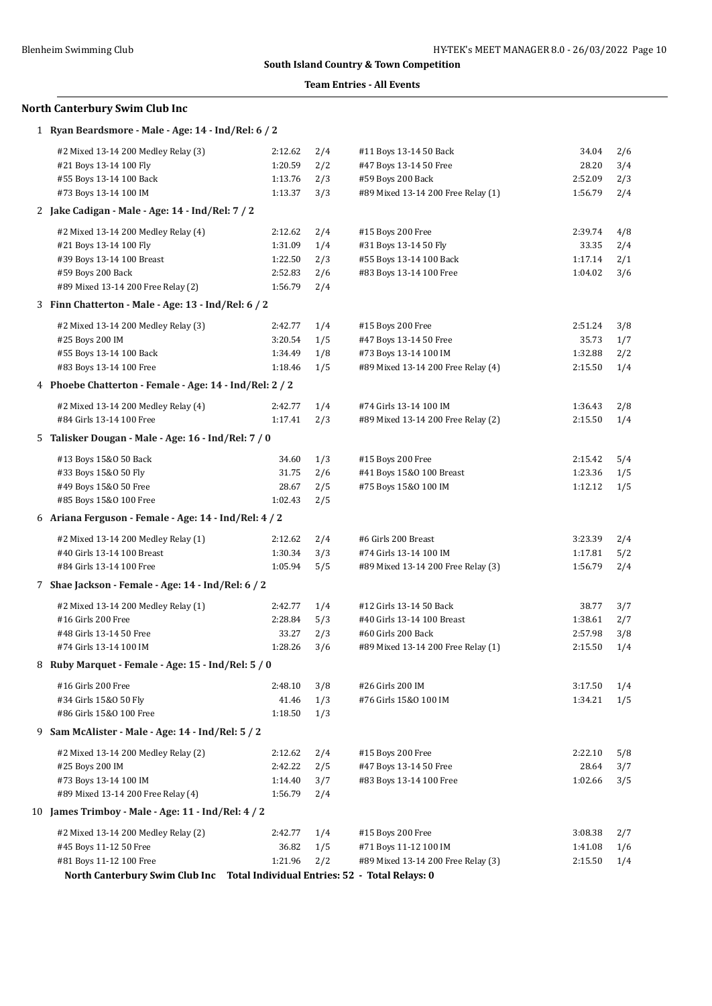### **Team Entries - All Events**

# **North Canterbury Swim Club Inc**

| 1 Ryan Beardsmore - Male - Age: 14 - Ind/Rel: 6 / 2                           |         |     |                                    |         |     |
|-------------------------------------------------------------------------------|---------|-----|------------------------------------|---------|-----|
| #2 Mixed 13-14 200 Medley Relay (3)                                           | 2:12.62 | 2/4 | #11 Boys 13-14 50 Back             | 34.04   | 2/6 |
| #21 Boys 13-14 100 Fly                                                        | 1:20.59 | 2/2 | #47 Boys 13-14 50 Free             | 28.20   | 3/4 |
| #55 Boys 13-14 100 Back                                                       | 1:13.76 | 2/3 | #59 Boys 200 Back                  | 2:52.09 | 2/3 |
| #73 Boys 13-14 100 IM                                                         | 1:13.37 | 3/3 | #89 Mixed 13-14 200 Free Relay (1) | 1:56.79 | 2/4 |
| 2 Jake Cadigan - Male - Age: 14 - Ind/Rel: 7 / 2                              |         |     |                                    |         |     |
| #2 Mixed 13-14 200 Medley Relay (4)                                           | 2:12.62 | 2/4 | #15 Boys 200 Free                  | 2:39.74 | 4/8 |
| #21 Boys 13-14 100 Fly                                                        | 1:31.09 | 1/4 | #31 Boys 13-14 50 Fly              | 33.35   | 2/4 |
| #39 Boys 13-14 100 Breast                                                     | 1:22.50 | 2/3 | #55 Boys 13-14 100 Back            | 1:17.14 | 2/1 |
| #59 Boys 200 Back                                                             | 2:52.83 | 2/6 | #83 Boys 13-14 100 Free            | 1:04.02 | 3/6 |
| #89 Mixed 13-14 200 Free Relay (2)                                            | 1:56.79 | 2/4 |                                    |         |     |
| 3 Finn Chatterton - Male - Age: 13 - Ind/Rel: 6 / 2                           |         |     |                                    |         |     |
| #2 Mixed 13-14 200 Medley Relay (3)                                           | 2:42.77 | 1/4 | #15 Boys 200 Free                  | 2:51.24 | 3/8 |
| #25 Boys 200 IM                                                               | 3:20.54 | 1/5 | #47 Boys 13-14 50 Free             | 35.73   | 1/7 |
| #55 Boys 13-14 100 Back                                                       | 1:34.49 | 1/8 | #73 Boys 13-14 100 IM              | 1:32.88 | 2/2 |
| #83 Boys 13-14 100 Free                                                       | 1:18.46 | 1/5 | #89 Mixed 13-14 200 Free Relay (4) | 2:15.50 | 1/4 |
| 4 Phoebe Chatterton - Female - Age: 14 - Ind/Rel: 2 / 2                       |         |     |                                    |         |     |
| #2 Mixed 13-14 200 Medley Relay (4)                                           | 2:42.77 | 1/4 | #74 Girls 13-14 100 IM             | 1:36.43 | 2/8 |
| #84 Girls 13-14 100 Free                                                      | 1:17.41 | 2/3 | #89 Mixed 13-14 200 Free Relay (2) | 2:15.50 | 1/4 |
| 5 Talisker Dougan - Male - Age: 16 - Ind/Rel: 7 / 0                           |         |     |                                    |         |     |
| #13 Boys 15&0 50 Back                                                         | 34.60   | 1/3 | #15 Boys 200 Free                  | 2:15.42 | 5/4 |
| #33 Boys 15&0 50 Fly                                                          | 31.75   | 2/6 | #41 Boys 15&0 100 Breast           | 1:23.36 | 1/5 |
| #49 Boys 15&0 50 Free                                                         | 28.67   | 2/5 | #75 Boys 15&0 100 IM               | 1:12.12 | 1/5 |
| #85 Boys 15&0 100 Free                                                        | 1:02.43 | 2/5 |                                    |         |     |
| 6 Ariana Ferguson - Female - Age: 14 - Ind/Rel: 4 / 2                         |         |     |                                    |         |     |
| #2 Mixed 13-14 200 Medley Relay (1)                                           | 2:12.62 | 2/4 | #6 Girls 200 Breast                | 3:23.39 | 2/4 |
| #40 Girls 13-14 100 Breast                                                    | 1:30.34 | 3/3 | #74 Girls 13-14 100 IM             | 1:17.81 | 5/2 |
| #84 Girls 13-14 100 Free                                                      | 1:05.94 | 5/5 | #89 Mixed 13-14 200 Free Relay (3) | 1:56.79 | 2/4 |
| 7 Shae Jackson - Female - Age: 14 - Ind/Rel: 6 / 2                            |         |     |                                    |         |     |
|                                                                               |         |     |                                    |         |     |
| #2 Mixed 13-14 200 Medley Relay (1)                                           | 2:42.77 | 1/4 | #12 Girls 13-14 50 Back            | 38.77   | 3/7 |
| #16 Girls 200 Free                                                            | 2:28.84 | 5/3 | #40 Girls 13-14 100 Breast         | 1:38.61 | 2/7 |
| #48 Girls 13-14 50 Free                                                       | 33.27   | 2/3 | #60 Girls 200 Back                 | 2:57.98 | 3/8 |
| #74 Girls 13-14 100 IM                                                        | 1:28.26 | 3/6 | #89 Mixed 13-14 200 Free Relay (1) | 2:15.50 | 1/4 |
| 8 Ruby Marquet - Female - Age: 15 - Ind/Rel: 5 / 0                            |         |     |                                    |         |     |
| #16 Girls 200 Free                                                            | 2:48.10 | 3/8 | #26 Girls 200 IM                   | 3:17.50 | 1/4 |
| #34 Girls 15&0 50 Fly                                                         | 41.46   | 1/3 | #76 Girls 15&0 100 IM              | 1:34.21 | 1/5 |
| #86 Girls 15&0 100 Free                                                       | 1:18.50 | 1/3 |                                    |         |     |
| 9 Sam McAlister - Male - Age: 14 - Ind/Rel: 5 / 2                             |         |     |                                    |         |     |
| #2 Mixed 13-14 200 Medley Relay (2)                                           | 2:12.62 | 2/4 | #15 Boys 200 Free                  | 2:22.10 | 5/8 |
| #25 Boys 200 IM                                                               | 2:42.22 | 2/5 | #47 Boys 13-14 50 Free             | 28.64   | 3/7 |
| #73 Boys 13-14 100 IM                                                         | 1:14.40 | 3/7 | #83 Boys 13-14 100 Free            | 1:02.66 | 3/5 |
| #89 Mixed 13-14 200 Free Relay (4)                                            | 1:56.79 | 2/4 |                                    |         |     |
| 10 James Trimboy - Male - Age: 11 - Ind/Rel: 4 / 2                            |         |     |                                    |         |     |
| #2 Mixed 13-14 200 Medley Relay (2)                                           | 2:42.77 | 1/4 | #15 Boys 200 Free                  | 3:08.38 | 2/7 |
| #45 Boys 11-12 50 Free                                                        | 36.82   | 1/5 | #71 Boys 11-12 100 IM              | 1:41.08 | 1/6 |
| #81 Boys 11-12 100 Free                                                       | 1:21.96 | 2/2 | #89 Mixed 13-14 200 Free Relay (3) | 2:15.50 | 1/4 |
| North Canterbury Swim Club Inc Total Individual Entries: 52 - Total Relays: 0 |         |     |                                    |         |     |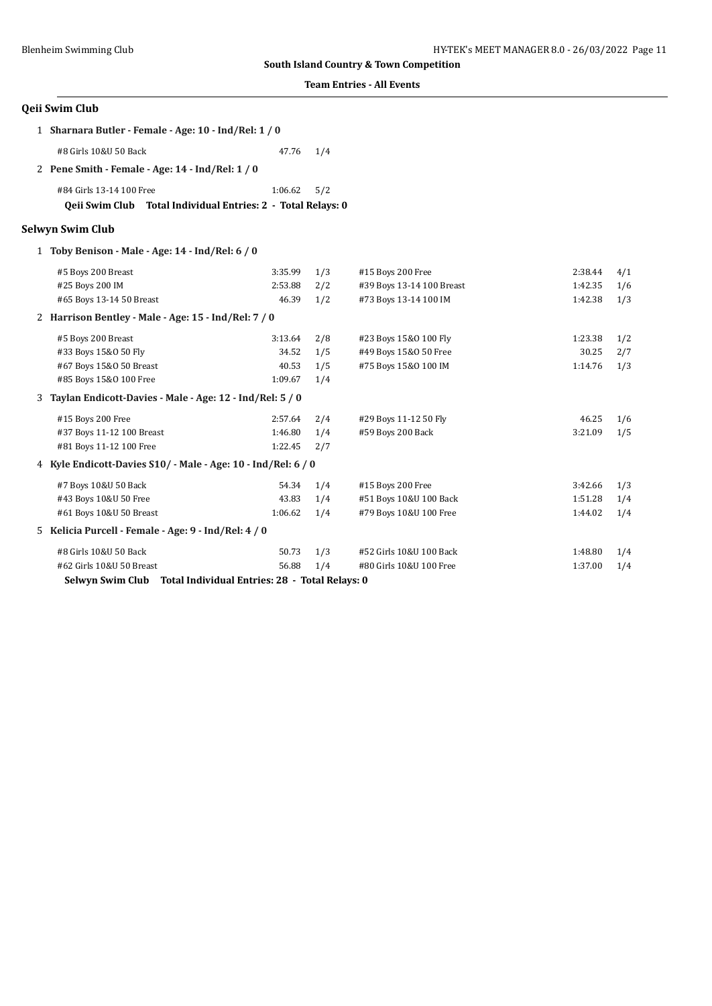### **Team Entries - All Events**

| Qeii Swim Club                                                                           |         |     |                           |         |     |
|------------------------------------------------------------------------------------------|---------|-----|---------------------------|---------|-----|
| 1 Sharnara Butler - Female - Age: 10 - Ind/Rel: 1 / 0                                    |         |     |                           |         |     |
| #8 Girls 10&U 50 Back                                                                    | 47.76   | 1/4 |                           |         |     |
| 2 Pene Smith - Female - Age: $14$ - Ind/Rel: $1/0$                                       |         |     |                           |         |     |
| #84 Girls 13-14 100 Free<br>Qeii Swim Club Total Individual Entries: 2 - Total Relays: 0 | 1:06.62 | 5/2 |                           |         |     |
| <b>Selwyn Swim Club</b>                                                                  |         |     |                           |         |     |
| 1 Toby Benison - Male - Age: 14 - Ind/Rel: 6 / 0                                         |         |     |                           |         |     |
| #5 Boys 200 Breast                                                                       | 3:35.99 | 1/3 | #15 Boys 200 Free         | 2:38.44 | 4/1 |
| #25 Boys 200 IM                                                                          | 2:53.88 | 2/2 | #39 Boys 13-14 100 Breast | 1:42.35 | 1/6 |
| #65 Boys 13-14 50 Breast                                                                 | 46.39   | 1/2 | #73 Boys 13-14 100 IM     | 1:42.38 | 1/3 |
| 2 Harrison Bentley - Male - Age: 15 - Ind/Rel: 7 / 0                                     |         |     |                           |         |     |
| #5 Boys 200 Breast                                                                       | 3:13.64 | 2/8 | #23 Boys 15&0 100 Fly     | 1:23.38 | 1/2 |
| #33 Boys 15&0 50 Fly                                                                     | 34.52   | 1/5 | #49 Boys 15&0 50 Free     | 30.25   | 2/7 |
| #67 Boys 15&0 50 Breast                                                                  | 40.53   | 1/5 | #75 Boys 15&0 100 IM      | 1:14.76 | 1/3 |
| #85 Boys 15&0 100 Free                                                                   | 1:09.67 | 1/4 |                           |         |     |
| Taylan Endicott-Davies - Male - Age: 12 - Ind/Rel: 5 / 0<br>3                            |         |     |                           |         |     |
| #15 Boys 200 Free                                                                        | 2:57.64 | 2/4 | #29 Boys 11-12 50 Fly     | 46.25   | 1/6 |
| #37 Boys 11-12 100 Breast                                                                | 1:46.80 | 1/4 | #59 Boys 200 Back         | 3:21.09 | 1/5 |
| #81 Boys 11-12 100 Free                                                                  | 1:22.45 | 2/7 |                           |         |     |
| 4 Kyle Endicott-Davies S10/ - Male - Age: 10 - Ind/Rel: 6 / 0                            |         |     |                           |         |     |
| #7 Boys 10&U 50 Back                                                                     | 54.34   | 1/4 | #15 Boys 200 Free         | 3:42.66 | 1/3 |
| #43 Boys 10&U 50 Free                                                                    | 43.83   | 1/4 | #51 Boys 10&U 100 Back    | 1:51.28 | 1/4 |
| #61 Boys 10&U 50 Breast                                                                  | 1:06.62 | 1/4 | #79 Boys 10&U 100 Free    | 1:44.02 | 1/4 |
| 5 Kelicia Purcell - Female - Age: 9 - Ind/Rel: 4 / 0                                     |         |     |                           |         |     |
| #8 Girls 10&U 50 Back                                                                    | 50.73   | 1/3 | #52 Girls 10&U 100 Back   | 1:48.80 | 1/4 |
| #62 Girls 10&U 50 Breast                                                                 | 56.88   | 1/4 | #80 Girls 10&U 100 Free   | 1:37.00 | 1/4 |

**Selwyn Swim Club Total Individual Entries: 28 - Total Relays: 0**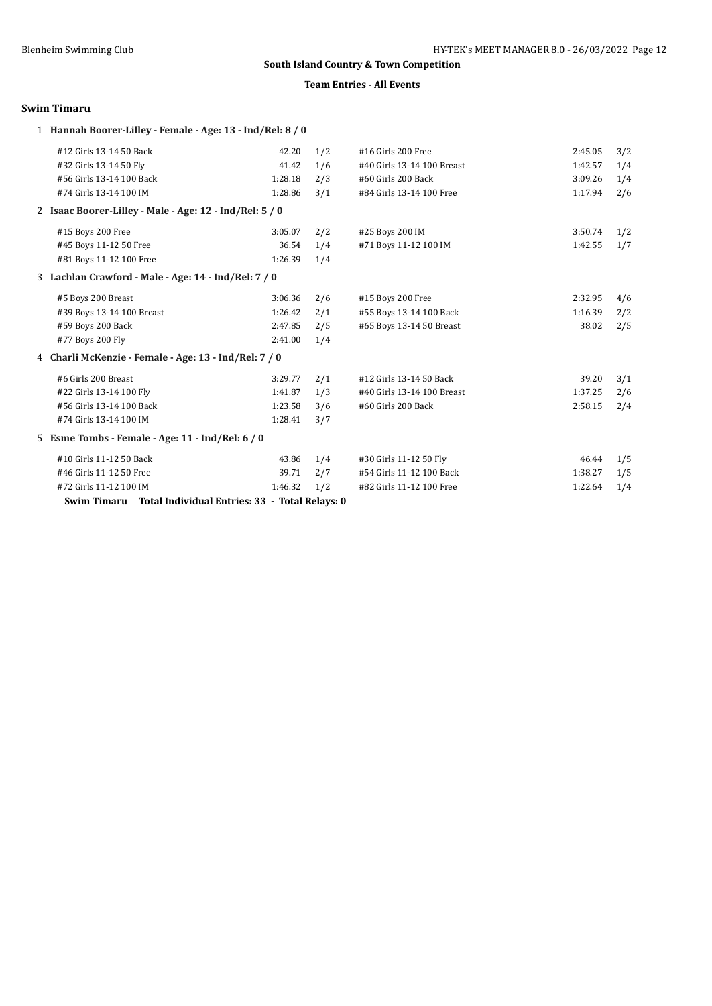### **Team Entries - All Events**

#### **Swim Timaru**

| 1 Hannah Boorer-Lilley - Female - Age: 13 - Ind/Rel: 8 / 0 |         |     |                            |         |     |  |  |  |
|------------------------------------------------------------|---------|-----|----------------------------|---------|-----|--|--|--|
| #12 Girls 13-14 50 Back                                    | 42.20   | 1/2 | #16 Girls 200 Free         | 2:45.05 | 3/2 |  |  |  |
| #32 Girls 13-14 50 Fly                                     | 41.42   | 1/6 | #40 Girls 13-14 100 Breast | 1:42.57 | 1/4 |  |  |  |
| #56 Girls 13-14 100 Back                                   | 1:28.18 | 2/3 | #60 Girls 200 Back         | 3:09.26 | 1/4 |  |  |  |
| #74 Girls 13-14 100 IM                                     | 1:28.86 | 3/1 | #84 Girls 13-14 100 Free   | 1:17.94 | 2/6 |  |  |  |
| 2 Isaac Boorer-Lilley - Male - Age: 12 - Ind/Rel: 5 / 0    |         |     |                            |         |     |  |  |  |
| #15 Boys 200 Free                                          | 3:05.07 | 2/2 | #25 Boys 200 IM            | 3:50.74 | 1/2 |  |  |  |
| #45 Boys 11-12 50 Free                                     | 36.54   | 1/4 | #71 Boys 11-12 100 IM      | 1:42.55 | 1/7 |  |  |  |
| #81 Boys 11-12 100 Free                                    | 1:26.39 | 1/4 |                            |         |     |  |  |  |
| 3 Lachlan Crawford - Male - Age: 14 - Ind/Rel: 7 / 0       |         |     |                            |         |     |  |  |  |
| #5 Boys 200 Breast                                         | 3:06.36 | 2/6 | #15 Boys 200 Free          | 2:32.95 | 4/6 |  |  |  |
| #39 Boys 13-14 100 Breast                                  | 1:26.42 | 2/1 | #55 Boys 13-14 100 Back    | 1:16.39 | 2/2 |  |  |  |
| #59 Boys 200 Back                                          | 2:47.85 | 2/5 | #65 Boys 13-14 50 Breast   | 38.02   | 2/5 |  |  |  |
| #77 Boys 200 Fly                                           | 2:41.00 | 1/4 |                            |         |     |  |  |  |
| 4 Charli McKenzie - Female - Age: 13 - Ind/Rel: 7 / 0      |         |     |                            |         |     |  |  |  |
| #6 Girls 200 Breast                                        | 3:29.77 | 2/1 | #12 Girls 13-14 50 Back    | 39.20   | 3/1 |  |  |  |
| #22 Girls 13-14 100 Fly                                    | 1:41.87 | 1/3 | #40 Girls 13-14 100 Breast | 1:37.25 | 2/6 |  |  |  |
| #56 Girls 13-14 100 Back                                   | 1:23.58 | 3/6 | #60 Girls 200 Back         | 2:58.15 | 2/4 |  |  |  |
| #74 Girls 13-14 100 IM                                     | 1:28.41 | 3/7 |                            |         |     |  |  |  |
| 5 Esme Tombs - Female - Age: 11 - Ind/Rel: 6 / 0           |         |     |                            |         |     |  |  |  |
| #10 Girls 11-12 50 Back                                    | 43.86   | 1/4 | #30 Girls 11-12 50 Fly     | 46.44   | 1/5 |  |  |  |
| #46 Girls 11-12 50 Free                                    | 39.71   | 2/7 | #54 Girls 11-12 100 Back   | 1:38.27 | 1/5 |  |  |  |
| #72 Girls 11-12 100 IM                                     | 1:46.32 | 1/2 | #82 Girls 11-12 100 Free   | 1:22.64 | 1/4 |  |  |  |
| Swim Timaru Total Individual Entries: 33 - Total Relays: 0 |         |     |                            |         |     |  |  |  |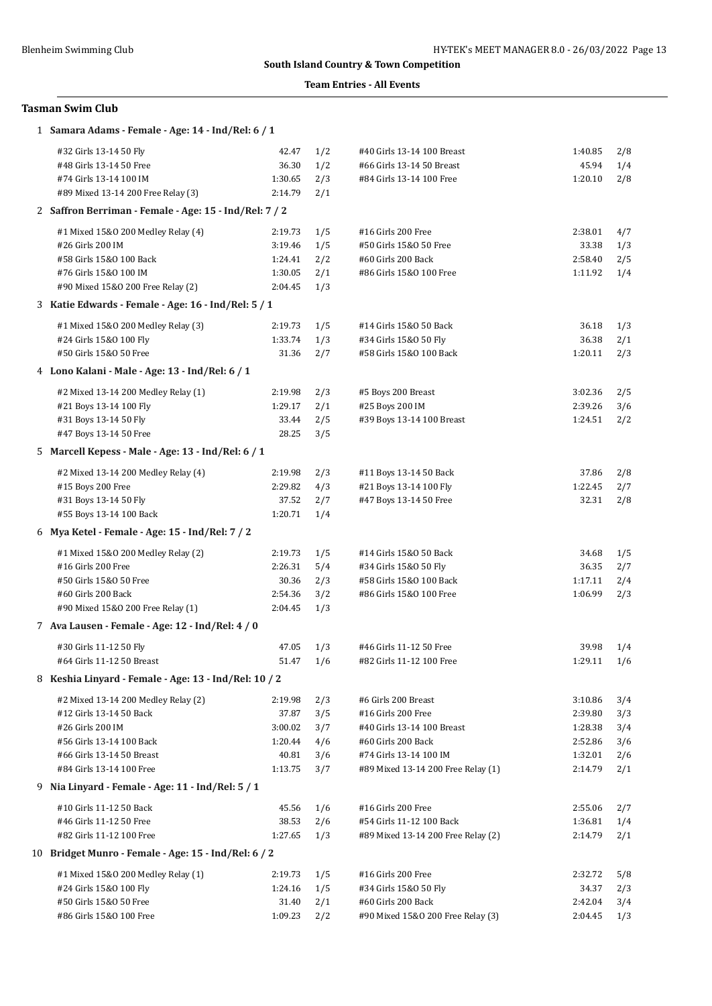### **Team Entries - All Events**

# **Tasman Swim Club**

| 1 Samara Adams - Female - Age: 14 - Ind/Rel: 6 / 1     |                  |            |                                    |                 |     |
|--------------------------------------------------------|------------------|------------|------------------------------------|-----------------|-----|
| #32 Girls 13-14 50 Fly                                 | 42.47            | 1/2        | #40 Girls 13-14 100 Breast         | 1:40.85         | 2/8 |
| #48 Girls 13-14 50 Free                                | 36.30            | 1/2        | #66 Girls 13-14 50 Breast          | 45.94           | 1/4 |
| #74 Girls 13-14 100 IM                                 | 1:30.65          | 2/3        | #84 Girls 13-14 100 Free           | 1:20.10         | 2/8 |
| #89 Mixed 13-14 200 Free Relay (3)                     | 2:14.79          | 2/1        |                                    |                 |     |
| 2 Saffron Berriman - Female - Age: 15 - Ind/Rel: 7 / 2 |                  |            |                                    |                 |     |
| #1 Mixed 15&0 200 Medley Relay (4)                     | 2:19.73          | 1/5        | #16 Girls 200 Free                 | 2:38.01         | 4/7 |
| #26 Girls 200 IM                                       | 3:19.46          | 1/5        | #50 Girls 15&0 50 Free             | 33.38           | 1/3 |
| #58 Girls 15&0 100 Back                                | 1:24.41          | 2/2        | #60 Girls 200 Back                 | 2:58.40         | 2/5 |
| #76 Girls 15&0 100 IM                                  | 1:30.05          | 2/1        | #86 Girls 15&0 100 Free            | 1:11.92         | 1/4 |
| #90 Mixed 15&0 200 Free Relay (2)                      | 2:04.45          | 1/3        |                                    |                 |     |
| 3 Katie Edwards - Female - Age: 16 - Ind/Rel: 5 / 1    |                  |            |                                    |                 |     |
| #1 Mixed 15&0 200 Medley Relay (3)                     | 2:19.73          | 1/5        | #14 Girls 15&0 50 Back             | 36.18           | 1/3 |
| #24 Girls 15&0 100 Fly                                 | 1:33.74          | 1/3        | #34 Girls 15&0 50 Fly              | 36.38           | 2/1 |
| #50 Girls 15&0 50 Free                                 | 31.36            | 2/7        | #58 Girls 15&0 100 Back            | 1:20.11         | 2/3 |
| 4 Lono Kalani - Male - Age: 13 - Ind/Rel: 6 / 1        |                  |            |                                    |                 |     |
| #2 Mixed 13-14 200 Medley Relay (1)                    | 2:19.98          | 2/3        | #5 Boys 200 Breast                 | 3:02.36         | 2/5 |
| #21 Boys 13-14 100 Fly                                 | 1:29.17          | 2/1        | #25 Boys 200 IM                    | 2:39.26         | 3/6 |
| #31 Boys 13-14 50 Fly                                  | 33.44            | 2/5        | #39 Boys 13-14 100 Breast          | 1:24.51         | 2/2 |
| #47 Boys 13-14 50 Free                                 | 28.25            | 3/5        |                                    |                 |     |
| 5 Marcell Kepess - Male - Age: 13 - Ind/Rel: 6 / 1     |                  |            |                                    |                 |     |
| #2 Mixed 13-14 200 Medley Relay (4)                    | 2:19.98          | 2/3        | #11 Boys 13-14 50 Back             | 37.86           | 2/8 |
| #15 Boys 200 Free                                      | 2:29.82          | 4/3        | #21 Boys 13-14 100 Fly             | 1:22.45         | 2/7 |
| #31 Boys 13-14 50 Fly                                  | 37.52            | 2/7        | #47 Boys 13-14 50 Free             | 32.31           | 2/8 |
| #55 Boys 13-14 100 Back                                | 1:20.71          | 1/4        |                                    |                 |     |
| 6 Mya Ketel - Female - Age: 15 - Ind/Rel: 7 / 2        |                  |            |                                    |                 |     |
| #1 Mixed 15&0 200 Medley Relay (2)                     | 2:19.73          | 1/5        | #14 Girls 15&0 50 Back             | 34.68           | 1/5 |
| #16 Girls 200 Free                                     | 2:26.31          | 5/4        | #34 Girls 15&0 50 Fly              | 36.35           | 2/7 |
| #50 Girls 15&0 50 Free                                 | 30.36            | 2/3        | #58 Girls 15&0 100 Back            | 1:17.11         | 2/4 |
| #60 Girls 200 Back                                     | 2:54.36          | 3/2        | #86 Girls 15&0 100 Free            | 1:06.99         | 2/3 |
| #90 Mixed 15&0 200 Free Relay (1)                      | 2:04.45          | 1/3        |                                    |                 |     |
| 7 Ava Lausen - Female - Age: 12 - Ind/Rel: 4 / 0       |                  |            |                                    |                 |     |
| #30 Girls 11-12 50 Fly                                 | 47.05            | 1/3        | #46 Girls 11-12 50 Free            | 39.98           | 1/4 |
| #64 Girls 11-12 50 Breast                              | 51.47 1/6        |            | #82 Girls 11-12 100 Free           | $1:29.11$ $1/6$ |     |
| 8 Keshia Linyard - Female - Age: 13 - Ind/Rel: 10 / 2  |                  |            |                                    |                 |     |
| #2 Mixed 13-14 200 Medley Relay (2)                    | 2:19.98          | 2/3        | #6 Girls 200 Breast                | 3:10.86         | 3/4 |
| #12 Girls 13-14 50 Back                                | 37.87            | 3/5        | #16 Girls 200 Free                 | 2:39.80         | 3/3 |
| #26 Girls 200 IM                                       | 3:00.02          | 3/7        | #40 Girls 13-14 100 Breast         | 1:28.38         | 3/4 |
| #56 Girls 13-14 100 Back                               | 1:20.44          | 4/6        | #60 Girls 200 Back                 | 2:52.86         | 3/6 |
| #66 Girls 13-14 50 Breast                              | 40.81            | 3/6        | #74 Girls 13-14 100 IM             | 1:32.01         | 2/6 |
| #84 Girls 13-14 100 Free                               | 1:13.75          | 3/7        | #89 Mixed 13-14 200 Free Relay (1) | 2:14.79         | 2/1 |
| 9 Nia Linyard - Female - Age: 11 - Ind/Rel: 5 / 1      |                  |            |                                    |                 |     |
| #10 Girls 11-12 50 Back                                | 45.56            | 1/6        | #16 Girls 200 Free                 | 2:55.06         | 2/7 |
| #46 Girls 11-12 50 Free                                | 38.53            | 2/6        | #54 Girls 11-12 100 Back           | 1:36.81         | 1/4 |
| #82 Girls 11-12 100 Free                               | 1:27.65          | 1/3        | #89 Mixed 13-14 200 Free Relay (2) | 2:14.79         | 2/1 |
| 10 Bridget Munro - Female - Age: 15 - Ind/Rel: 6 / 2   |                  |            |                                    |                 |     |
| #1 Mixed 15&0 200 Medley Relay (1)                     | 2:19.73          | 1/5        | #16 Girls 200 Free                 | 2:32.72         | 5/8 |
| #24 Girls 15&0 100 Fly                                 | 1:24.16          | 1/5        | #34 Girls 15&0 50 Fly              | 34.37           | 2/3 |
| #50 Girls 15&0 50 Free<br>#86 Girls 15&0 100 Free      | 31.40<br>1:09.23 | 2/1<br>2/2 | #60 Girls 200 Back                 | 2:42.04         | 3/4 |
|                                                        |                  |            | #90 Mixed 15&0 200 Free Relay (3)  | 2:04.45         | 1/3 |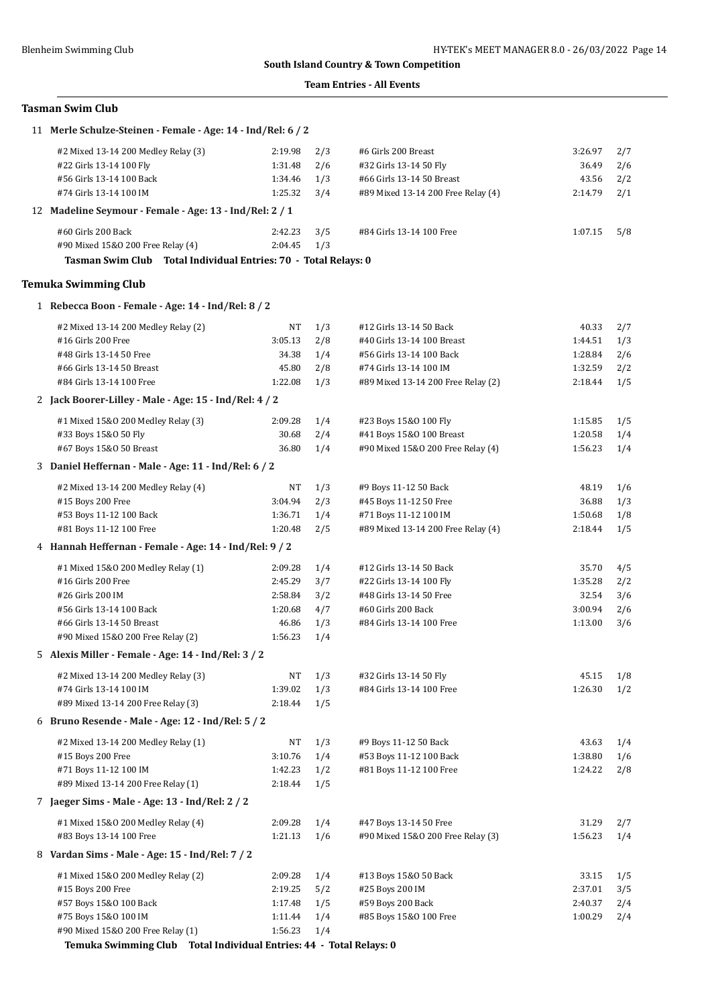### **Team Entries - All Events**

# **Tasman Swim Club**

| 11 Merle Schulze-Steinen - Female - Age: 14 - Ind/Rel: 6 / 2        |         |     |                                    |         |     |
|---------------------------------------------------------------------|---------|-----|------------------------------------|---------|-----|
| #2 Mixed 13-14 200 Medley Relay (3)                                 | 2:19.98 | 2/3 | #6 Girls 200 Breast                | 3:26.97 | 2/7 |
| #22 Girls 13-14 100 Fly                                             | 1:31.48 | 2/6 | #32 Girls 13-14 50 Fly             | 36.49   | 2/6 |
| #56 Girls 13-14 100 Back                                            | 1:34.46 | 1/3 | #66 Girls 13-14 50 Breast          | 43.56   | 2/2 |
| #74 Girls 13-14 100 IM                                              | 1:25.32 | 3/4 | #89 Mixed 13-14 200 Free Relay (4) | 2:14.79 | 2/1 |
| 12 Madeline Seymour - Female - Age: 13 - Ind/Rel: 2 / 1             |         |     |                                    |         |     |
| #60 Girls 200 Back                                                  | 2:42.23 | 3/5 | #84 Girls 13-14 100 Free           | 1:07.15 | 5/8 |
| #90 Mixed 15&0 200 Free Relay (4)                                   | 2:04.45 | 1/3 |                                    |         |     |
| Tasman Swim Club Total Individual Entries: 70 - Total Relays: 0     |         |     |                                    |         |     |
| <b>Temuka Swimming Club</b>                                         |         |     |                                    |         |     |
| 1 Rebecca Boon - Female - Age: 14 - Ind/Rel: 8 / 2                  |         |     |                                    |         |     |
| #2 Mixed 13-14 200 Medley Relay (2)                                 | NT      | 1/3 | #12 Girls 13-14 50 Back            | 40.33   | 2/7 |
| #16 Girls 200 Free                                                  | 3:05.13 | 2/8 | #40 Girls 13-14 100 Breast         | 1:44.51 | 1/3 |
| #48 Girls 13-14 50 Free                                             | 34.38   | 1/4 | #56 Girls 13-14 100 Back           | 1:28.84 | 2/6 |
| #66 Girls 13-14 50 Breast                                           | 45.80   | 2/8 | #74 Girls 13-14 100 IM             | 1:32.59 | 2/2 |
| #84 Girls 13-14 100 Free                                            | 1:22.08 | 1/3 | #89 Mixed 13-14 200 Free Relay (2) | 2:18.44 | 1/5 |
| 2 Jack Boorer-Lilley - Male - Age: 15 - Ind/Rel: 4 / 2              |         |     |                                    |         |     |
| #1 Mixed 15&0 200 Medley Relay (3)                                  | 2:09.28 | 1/4 | #23 Boys 15&0 100 Fly              | 1:15.85 | 1/5 |
| #33 Boys 15&0 50 Fly                                                | 30.68   | 2/4 | #41 Boys 15&0 100 Breast           | 1:20.58 | 1/4 |
| #67 Boys 15&0 50 Breast                                             | 36.80   | 1/4 | #90 Mixed 15&0 200 Free Relay (4)  | 1:56.23 | 1/4 |
| 3 Daniel Heffernan - Male - Age: 11 - Ind/Rel: 6 / 2                |         |     |                                    |         |     |
| #2 Mixed 13-14 200 Medley Relay (4)                                 | NT      | 1/3 | #9 Boys 11-12 50 Back              | 48.19   | 1/6 |
| #15 Boys 200 Free                                                   | 3:04.94 | 2/3 | #45 Boys 11-12 50 Free             | 36.88   | 1/3 |
| #53 Boys 11-12 100 Back                                             | 1:36.71 | 1/4 | #71 Boys 11-12 100 IM              | 1:50.68 | 1/8 |
| #81 Boys 11-12 100 Free                                             | 1:20.48 | 2/5 | #89 Mixed 13-14 200 Free Relay (4) | 2:18.44 | 1/5 |
| 4 Hannah Heffernan - Female - Age: 14 - Ind/Rel: 9 / 2              |         |     |                                    |         |     |
| #1 Mixed 15&0 200 Medley Relay (1)                                  | 2:09.28 | 1/4 | #12 Girls 13-14 50 Back            | 35.70   | 4/5 |
| #16 Girls 200 Free                                                  | 2:45.29 | 3/7 | #22 Girls 13-14 100 Fly            | 1:35.28 | 2/2 |
| #26 Girls 200 IM                                                    | 2:58.84 | 3/2 | #48 Girls 13-14 50 Free            | 32.54   | 3/6 |
| #56 Girls 13-14 100 Back                                            | 1:20.68 | 4/7 | #60 Girls 200 Back                 | 3:00.94 | 2/6 |
| #66 Girls 13-14 50 Breast                                           | 46.86   | 1/3 | #84 Girls 13-14 100 Free           | 1:13.00 | 3/6 |
| #90 Mixed 15&0 200 Free Relay (2)                                   | 1:56.23 | 1/4 |                                    |         |     |
| 5 Alexis Miller - Female - Age: 14 - Ind/Rel: 3 / 2                 |         |     |                                    |         |     |
| #2 Mixed 13-14 200 Medley Relay (3)                                 | NT      | 1/3 | #32 Girls 13-14 50 Fly             | 45.15   | 1/8 |
| #74 Girls 13-14 100 IM                                              | 1:39.02 | 1/3 | #84 Girls 13-14 100 Free           | 1:26.30 | 1/2 |
| #89 Mixed 13-14 200 Free Relay (3)                                  | 2:18.44 | 1/5 |                                    |         |     |
| 6 Bruno Resende - Male - Age: 12 - Ind/Rel: 5 / 2                   |         |     |                                    |         |     |
| #2 Mixed 13-14 200 Medley Relay (1)                                 | NT      | 1/3 | #9 Boys 11-12 50 Back              | 43.63   | 1/4 |
| #15 Boys 200 Free                                                   | 3:10.76 | 1/4 | #53 Boys 11-12 100 Back            | 1:38.80 | 1/6 |
| #71 Boys 11-12 100 IM                                               | 1:42.23 | 1/2 | #81 Boys 11-12 100 Free            | 1:24.22 | 2/8 |
| #89 Mixed 13-14 200 Free Relay (1)                                  | 2:18.44 | 1/5 |                                    |         |     |
| 7 Jaeger Sims - Male - Age: 13 - Ind/Rel: 2 / 2                     |         |     |                                    |         |     |
| #1 Mixed 15&0 200 Medley Relay (4)                                  | 2:09.28 | 1/4 | #47 Boys 13-14 50 Free             | 31.29   | 2/7 |
| #83 Boys 13-14 100 Free                                             | 1:21.13 | 1/6 | #90 Mixed 15&0 200 Free Relay (3)  | 1:56.23 | 1/4 |
| 8 Vardan Sims - Male - Age: 15 - Ind/Rel: 7 / 2                     |         |     |                                    |         |     |
| #1 Mixed 15&0 200 Medley Relay (2)                                  | 2:09.28 | 1/4 | #13 Boys 15&0 50 Back              | 33.15   | 1/5 |
| #15 Boys 200 Free                                                   | 2:19.25 | 5/2 | #25 Boys 200 IM                    | 2:37.01 | 3/5 |
| #57 Boys 15&0 100 Back                                              | 1:17.48 | 1/5 | #59 Boys 200 Back                  | 2:40.37 | 2/4 |
| #75 Boys 15&0 100 IM                                                | 1:11.44 | 1/4 | #85 Boys 15&0 100 Free             | 1:00.29 | 2/4 |
| #90 Mixed 15&0 200 Free Relay (1)                                   | 1:56.23 | 1/4 |                                    |         |     |
| Temuka Swimming Club Total Individual Entries: 44 - Total Relays: 0 |         |     |                                    |         |     |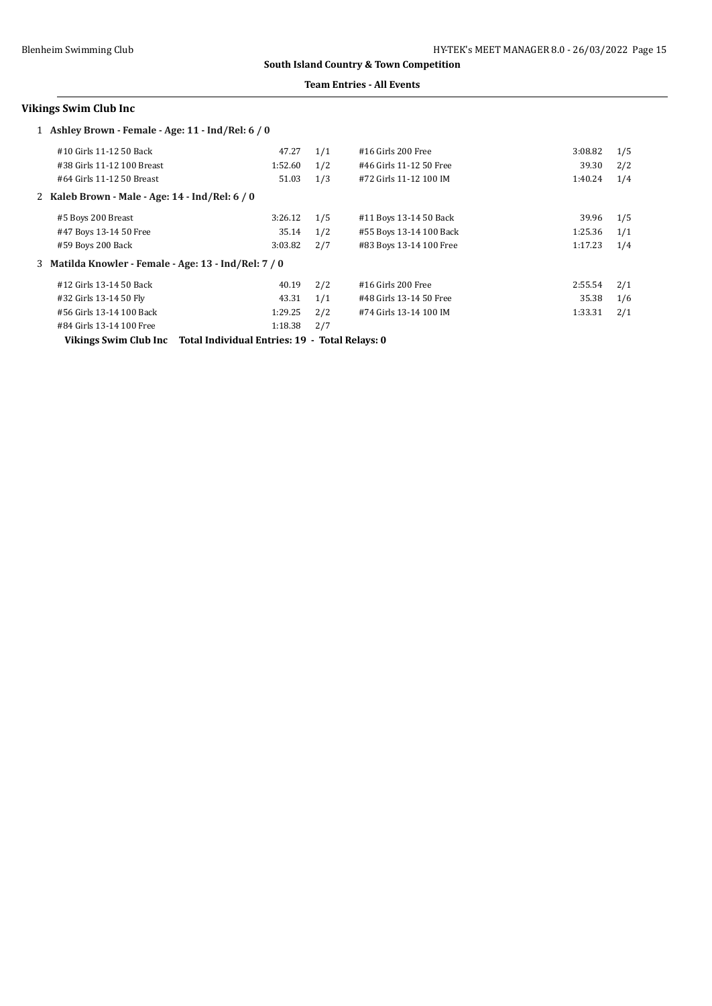### **Team Entries - All Events**

# **Vikings Swim Club Inc**

| 1 Ashley Brown - Female - Age: 11 - Ind/Rel: 6 / 0    |         |     |                         |         |     |
|-------------------------------------------------------|---------|-----|-------------------------|---------|-----|
| #10 Girls 11-12 50 Back                               | 47.27   | 1/1 | $#16$ Girls 200 Free    | 3:08.82 | 1/5 |
| #38 Girls 11-12 100 Breast                            | 1:52.60 | 1/2 | #46 Girls 11-12 50 Free | 39.30   | 2/2 |
| #64 Girls 11-12 50 Breast                             | 51.03   | 1/3 | #72 Girls 11-12 100 IM  | 1:40.24 | 1/4 |
| 2 Kaleb Brown - Male - Age: 14 - Ind/Rel: 6 / 0       |         |     |                         |         |     |
| #5 Boys 200 Breast                                    | 3:26.12 | 1/5 | #11 Boys 13-14 50 Back  | 39.96   | 1/5 |
| #47 Boys 13-14 50 Free                                | 35.14   | 1/2 | #55 Boys 13-14 100 Back | 1:25.36 | 1/1 |
| #59 Boys 200 Back                                     | 3:03.82 | 2/7 | #83 Boys 13-14 100 Free | 1:17.23 | 1/4 |
| 3 Matilda Knowler - Female - Age: 13 - Ind/Rel: 7 / 0 |         |     |                         |         |     |
| #12 Girls 13-14 50 Back                               | 40.19   | 2/2 | #16 Girls 200 Free      | 2:55.54 | 2/1 |
| #32 Girls 13-14 50 Fly                                | 43.31   | 1/1 | #48 Girls 13-14 50 Free | 35.38   | 1/6 |
| #56 Girls 13-14 100 Back                              | 1:29.25 | 2/2 | #74 Girls 13-14 100 IM  | 1:33.31 | 2/1 |
| #84 Girls 13-14 100 Free                              | 1:18.38 | 2/7 |                         |         |     |

**Vikings Swim Club Inc Total Individual Entries: 19 - Total Relays: 0**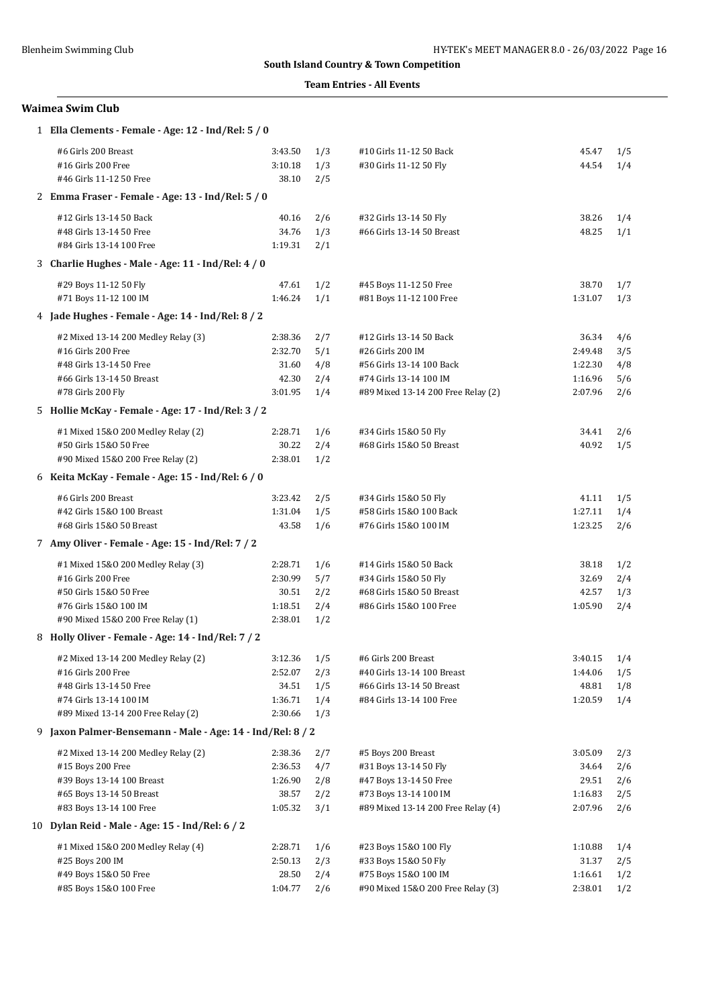### **Team Entries - All Events**

# **Waimea Swim Club**

|    | 1 Ella Clements - Female - Age: 12 - Ind/Rel: 5 / 0      |                    |            |                                                             |                    |            |
|----|----------------------------------------------------------|--------------------|------------|-------------------------------------------------------------|--------------------|------------|
|    | #6 Girls 200 Breast                                      | 3:43.50            | 1/3        | #10 Girls 11-12 50 Back                                     | 45.47              | 1/5        |
|    | #16 Girls 200 Free<br>#46 Girls 11-12 50 Free            | 3:10.18<br>38.10   | 1/3<br>2/5 | #30 Girls 11-12 50 Fly                                      | 44.54              | 1/4        |
|    | 2 Emma Fraser - Female - Age: 13 - Ind/Rel: 5 / 0        |                    |            |                                                             |                    |            |
|    | #12 Girls 13-14 50 Back                                  | 40.16              | 2/6        | #32 Girls 13-14 50 Fly                                      | 38.26              | 1/4        |
|    | #48 Girls 13-14 50 Free                                  | 34.76              | 1/3        | #66 Girls 13-14 50 Breast                                   | 48.25              | 1/1        |
|    | #84 Girls 13-14 100 Free                                 | 1:19.31            | 2/1        |                                                             |                    |            |
|    | 3 Charlie Hughes - Male - Age: 11 - Ind/Rel: 4 / 0       |                    |            |                                                             |                    |            |
|    | #29 Boys 11-12 50 Fly                                    | 47.61              | 1/2        | #45 Boys 11-12 50 Free                                      | 38.70              | 1/7        |
|    | #71 Boys 11-12 100 IM                                    | 1:46.24            | 1/1        | #81 Boys 11-12 100 Free                                     | 1:31.07            | 1/3        |
|    | 4 Jade Hughes - Female - Age: 14 - Ind/Rel: 8 / 2        |                    |            |                                                             |                    |            |
|    | #2 Mixed 13-14 200 Medley Relay (3)                      | 2:38.36            | 2/7        | #12 Girls 13-14 50 Back                                     | 36.34              | 4/6        |
|    | #16 Girls 200 Free                                       | 2:32.70            | 5/1        | #26 Girls 200 IM                                            | 2:49.48            | 3/5        |
|    | #48 Girls 13-14 50 Free<br>#66 Girls 13-14 50 Breast     | 31.60<br>42.30     | 4/8<br>2/4 | #56 Girls 13-14 100 Back<br>#74 Girls 13-14 100 IM          | 1:22.30<br>1:16.96 | 4/8<br>5/6 |
|    | #78 Girls 200 Fly                                        | 3:01.95            | 1/4        | #89 Mixed 13-14 200 Free Relay (2)                          | 2:07.96            | 2/6        |
|    | 5 Hollie McKay - Female - Age: 17 - Ind/Rel: 3 / 2       |                    |            |                                                             |                    |            |
|    | #1 Mixed 15&0 200 Medley Relay (2)                       | 2:28.71            | 1/6        | #34 Girls 15&0 50 Fly                                       | 34.41              | 2/6        |
|    | #50 Girls 15&0 50 Free                                   | 30.22              | 2/4        | #68 Girls 15&0 50 Breast                                    | 40.92              | 1/5        |
|    | #90 Mixed 15&0 200 Free Relay (2)                        | 2:38.01            | 1/2        |                                                             |                    |            |
|    | 6 Keita McKay - Female - Age: 15 - Ind/Rel: 6 / 0        |                    |            |                                                             |                    |            |
|    | #6 Girls 200 Breast                                      | 3:23.42            | 2/5        | #34 Girls 15&0 50 Fly                                       | 41.11              | 1/5        |
|    | #42 Girls 15&0 100 Breast                                | 1:31.04            | 1/5        | #58 Girls 15&0 100 Back                                     | 1:27.11            | 1/4        |
|    | #68 Girls 15&0 50 Breast                                 | 43.58              | 1/6        | #76 Girls 15&0 100 IM                                       | 1:23.25            | 2/6        |
|    | 7 Amy Oliver - Female - Age: 15 - Ind/Rel: 7 / 2         |                    |            |                                                             |                    |            |
|    | #1 Mixed 15&0 200 Medley Relay (3)                       | 2:28.71            | 1/6        | #14 Girls 15&0 50 Back                                      | 38.18              | 1/2        |
|    | #16 Girls 200 Free                                       | 2:30.99            | 5/7        | #34 Girls 15&0 50 Fly                                       | 32.69              | 2/4        |
|    | #50 Girls 15&0 50 Free<br>#76 Girls 15&0 100 IM          | 30.51              | 2/2        | #68 Girls 15&0 50 Breast                                    | 42.57              | 1/3        |
|    | #90 Mixed 15&0 200 Free Relay (1)                        | 1:18.51<br>2:38.01 | 2/4<br>1/2 | #86 Girls 15&0 100 Free                                     | 1:05.90            | 2/4        |
|    | 8 Holly Oliver - Female - Age: 14 - Ind/Rel: 7 / 2       |                    |            |                                                             |                    |            |
|    | #2 Mixed 13-14 200 Medley Relay (2)                      | $3:12.36$ $1/5$    |            | #6 Girls 200 Breast                                         | 3:40.15            | 1/4        |
|    | #16 Girls 200 Free                                       | 2:52.07            | 2/3        | #40 Girls 13-14 100 Breast                                  | 1:44.06            | 1/5        |
|    | #48 Girls 13-14 50 Free                                  | 34.51              | 1/5        | #66 Girls 13-14 50 Breast                                   | 48.81              | 1/8        |
|    | #74 Girls 13-14 100 IM                                   | 1:36.71            | 1/4        | #84 Girls 13-14 100 Free                                    | 1:20.59            | 1/4        |
|    | #89 Mixed 13-14 200 Free Relay (2)                       | 2:30.66            | 1/3        |                                                             |                    |            |
| 9. | Jaxon Palmer-Bensemann - Male - Age: 14 - Ind/Rel: 8 / 2 |                    |            |                                                             |                    |            |
|    | #2 Mixed 13-14 200 Medley Relay (2)                      | 2:38.36            | 2/7        | #5 Boys 200 Breast                                          | 3:05.09            | 2/3        |
|    | #15 Boys 200 Free                                        | 2:36.53            | 4/7        | #31 Boys 13-14 50 Fly                                       | 34.64              | 2/6        |
|    | #39 Boys 13-14 100 Breast<br>#65 Boys 13-14 50 Breast    | 1:26.90            | 2/8        | #47 Boys 13-14 50 Free                                      | 29.51<br>1:16.83   | 2/6        |
|    | #83 Boys 13-14 100 Free                                  | 38.57<br>1:05.32   | 2/2<br>3/1 | #73 Boys 13-14 100 IM<br>#89 Mixed 13-14 200 Free Relay (4) | 2:07.96            | 2/5<br>2/6 |
|    | 10 Dylan Reid - Male - Age: 15 - Ind/Rel: 6 / 2          |                    |            |                                                             |                    |            |
|    | #1 Mixed 15&0 200 Medley Relay (4)                       | 2:28.71            | 1/6        | #23 Boys 15&0 100 Fly                                       | 1:10.88            | 1/4        |
|    | #25 Boys 200 IM                                          | 2:50.13            | 2/3        | #33 Boys 15&0 50 Fly                                        | 31.37              | 2/5        |
|    | #49 Boys 15&0 50 Free                                    | 28.50              | 2/4        | #75 Boys 15&0 100 IM                                        | 1:16.61            | 1/2        |
|    | #85 Boys 15&0 100 Free                                   | 1:04.77            | 2/6        | #90 Mixed 15&0 200 Free Relay (3)                           | 2:38.01            | 1/2        |